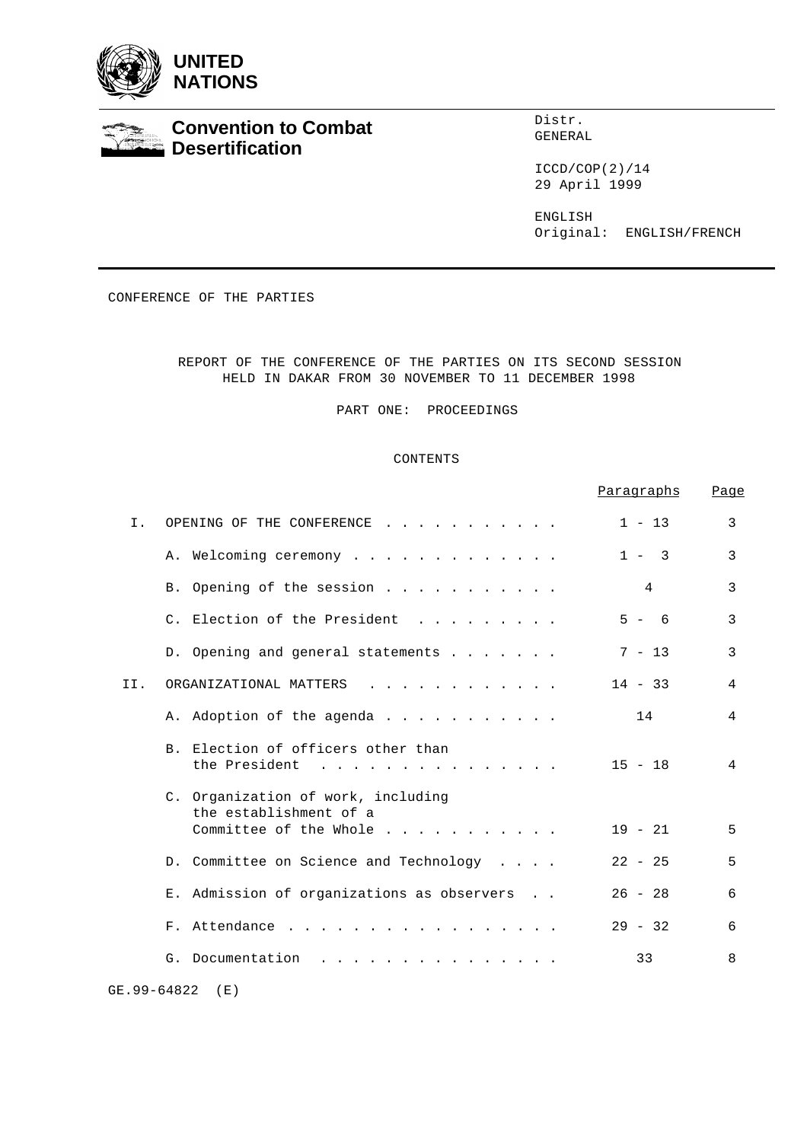



# **Convention to Combat Desertification**

Distr. GENERAL

ICCD/COP(2)/14 29 April 1999

ENGLISH Original: ENGLISH/FRENCH

CONFERENCE OF THE PARTIES

REPORT OF THE CONFERENCE OF THE PARTIES ON ITS SECOND SESSION HELD IN DAKAR FROM 30 NOVEMBER TO 11 DECEMBER 1998

PART ONE: PROCEEDINGS

# CONTENTS

|                                                                                                                                                        | Paragraphs | Page           |
|--------------------------------------------------------------------------------------------------------------------------------------------------------|------------|----------------|
| Ι.<br>OPENING OF THE CONFERENCE                                                                                                                        | $1 - 13$   | 3              |
| A. Welcoming ceremony                                                                                                                                  | $1 - 3$    | 3              |
| B. Opening of the session                                                                                                                              | 4          | 3              |
| C. Election of the President                                                                                                                           | $5 - 6$    | 3              |
| D. Opening and general statements                                                                                                                      | $7 - 13$   | $\mathbf{3}$   |
| II.<br>ORGANIZATIONAL MATTERS<br>$\mathcal{L}^{\mathcal{A}}$ . The contribution of the contribution of the contribution of $\mathcal{L}^{\mathcal{A}}$ | $14 - 33$  | 4              |
| A. Adoption of the agenda                                                                                                                              | 14         | $\overline{4}$ |
| B. Election of officers other than<br>the President                                                                                                    | $15 - 18$  | $\overline{4}$ |
| C. Organization of work, including<br>the establishment of a<br>Committee of the Whole                                                                 | $19 - 21$  | 5              |
| D. Committee on Science and Technology                                                                                                                 | $22 - 25$  | 5              |
| E. Admission of organizations as observers                                                                                                             | $26 - 28$  | 6              |
| F. Attendance                                                                                                                                          | $29 - 32$  | 6              |
| G. Documentation<br>and a series and a series and a series and                                                                                         | 33         | 8              |
| GE. 99-64822<br>(E)                                                                                                                                    |            |                |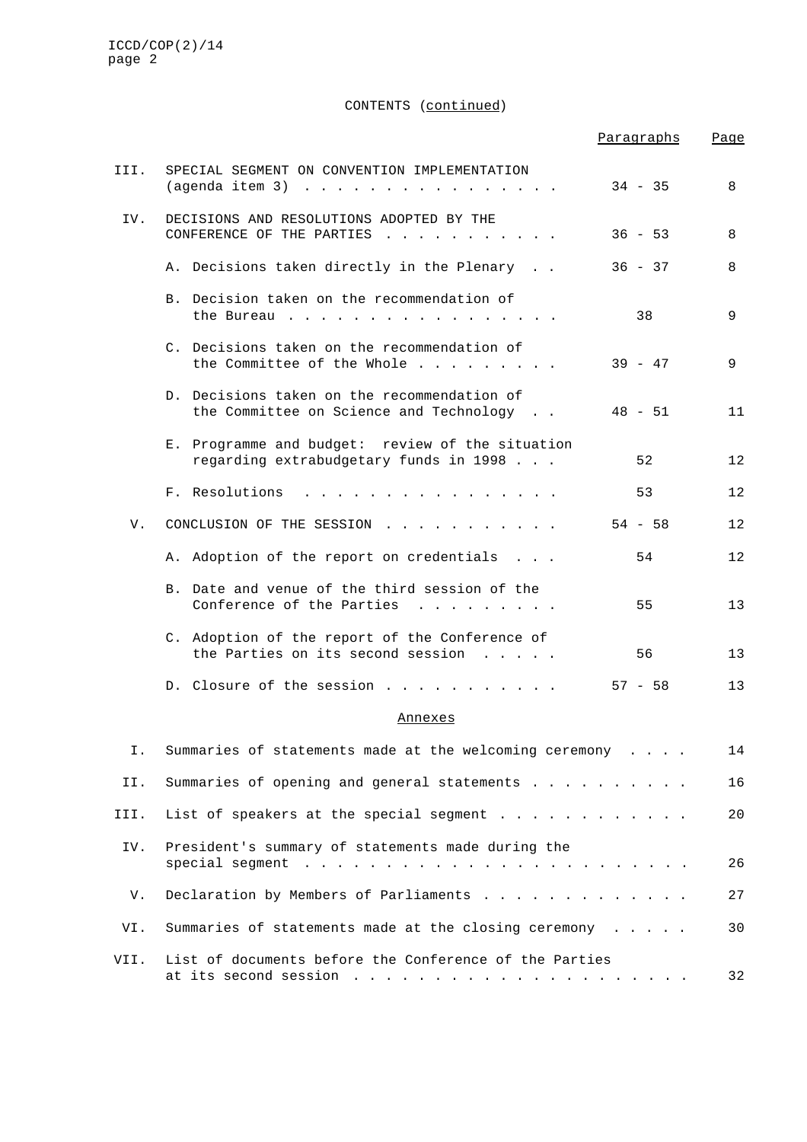CONTENTS (continued)

|      |                                                                                                                                                                                                                                                  | Paragraphs | Page |
|------|--------------------------------------------------------------------------------------------------------------------------------------------------------------------------------------------------------------------------------------------------|------------|------|
| III. | SPECIAL SEGMENT ON CONVENTION IMPLEMENTATION<br>$(aqenda item 3)$                                                                                                                                                                                | $34 - 35$  | 8    |
| IV.  | DECISIONS AND RESOLUTIONS ADOPTED BY THE<br>CONFERENCE OF THE PARTIES                                                                                                                                                                            | $36 - 53$  | 8    |
|      | A. Decisions taken directly in the Plenary                                                                                                                                                                                                       | $36 - 37$  | 8    |
|      | B. Decision taken on the recommendation of<br>the Bureau                                                                                                                                                                                         | 38         | 9    |
|      | C. Decisions taken on the recommendation of<br>the Committee of the Whole                                                                                                                                                                        | 39 - 47    | 9    |
|      | D. Decisions taken on the recommendation of<br>the Committee on Science and Technology                                                                                                                                                           | $48 - 51$  | 11   |
|      | E. Programme and budget: review of the situation<br>regarding extrabudgetary funds in 1998                                                                                                                                                       | 52         | 12   |
|      | F. Resolutions<br>and the contract of the contract of the contract of the contract of the contract of the contract of the contract of the contract of the contract of the contract of the contract of the contract of the contract of the contra | 53         | 12   |
| V.   | CONCLUSION OF THE SESSION                                                                                                                                                                                                                        | $54 - 58$  | 12   |
|      | A. Adoption of the report on credentials                                                                                                                                                                                                         | 54         | 12   |
|      | B. Date and venue of the third session of the<br>Conference of the Parties                                                                                                                                                                       | 55         | 13   |
|      | C. Adoption of the report of the Conference of<br>the Parties on its second session $\ldots$ .                                                                                                                                                   | 56         | 13   |
|      | D. Closure of the session                                                                                                                                                                                                                        | $57 - 58$  | 13   |
|      | Annexes                                                                                                                                                                                                                                          |            |      |
| Ι.   | Summaries of statements made at the welcoming ceremony                                                                                                                                                                                           |            | 14   |
| II.  | Summaries of opening and general statements                                                                                                                                                                                                      |            | 16   |
| III. | List of speakers at the special segment                                                                                                                                                                                                          |            | 20   |
| IV.  | President's summary of statements made during the<br>special segment $\ldots$                                                                                                                                                                    |            | 26   |
| V.   | Declaration by Members of Parliaments                                                                                                                                                                                                            |            | 27   |
| VI.  | Summaries of statements made at the closing ceremony                                                                                                                                                                                             |            | 30   |
| VII. | List of documents before the Conference of the Parties                                                                                                                                                                                           |            | 32   |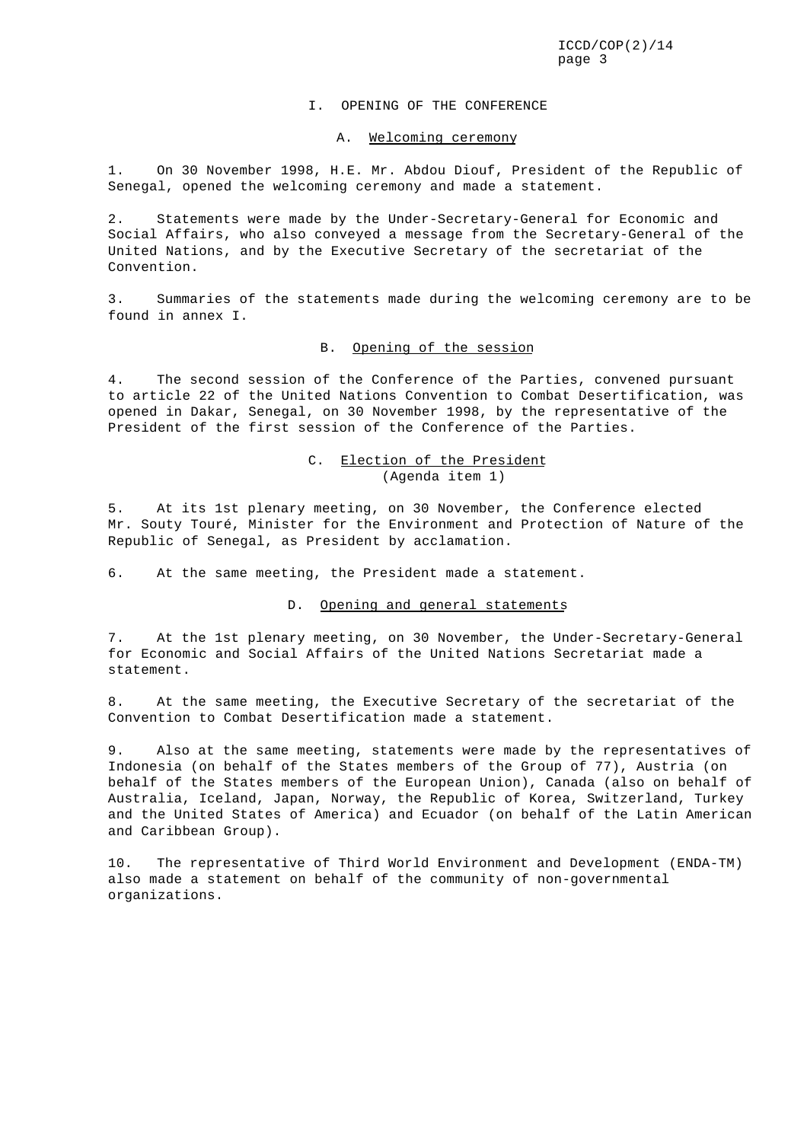#### I. OPENING OF THE CONFERENCE

#### A. Welcoming ceremony

1. On 30 November 1998, H.E. Mr. Abdou Diouf, President of the Republic of Senegal, opened the welcoming ceremony and made a statement.

2. Statements were made by the Under-Secretary-General for Economic and Social Affairs, who also conveyed a message from the Secretary-General of the United Nations, and by the Executive Secretary of the secretariat of the Convention.

3. Summaries of the statements made during the welcoming ceremony are to be found in annex I.

# B. Opening of the session

4. The second session of the Conference of the Parties, convened pursuant to article 22 of the United Nations Convention to Combat Desertification, was opened in Dakar, Senegal, on 30 November 1998, by the representative of the President of the first session of the Conference of the Parties.

### C. Election of the President (Agenda item 1)

5. At its 1st plenary meeting, on 30 November, the Conference elected Mr. Souty Touré, Minister for the Environment and Protection of Nature of the Republic of Senegal, as President by acclamation.

6. At the same meeting, the President made a statement.

### D. Opening and general statements

7. At the 1st plenary meeting, on 30 November, the Under-Secretary-General for Economic and Social Affairs of the United Nations Secretariat made a statement.

8. At the same meeting, the Executive Secretary of the secretariat of the Convention to Combat Desertification made a statement.

9. Also at the same meeting, statements were made by the representatives of Indonesia (on behalf of the States members of the Group of 77), Austria (on behalf of the States members of the European Union), Canada (also on behalf of Australia, Iceland, Japan, Norway, the Republic of Korea, Switzerland, Turkey and the United States of America) and Ecuador (on behalf of the Latin American and Caribbean Group).

10. The representative of Third World Environment and Development (ENDA-TM) also made a statement on behalf of the community of non-governmental organizations.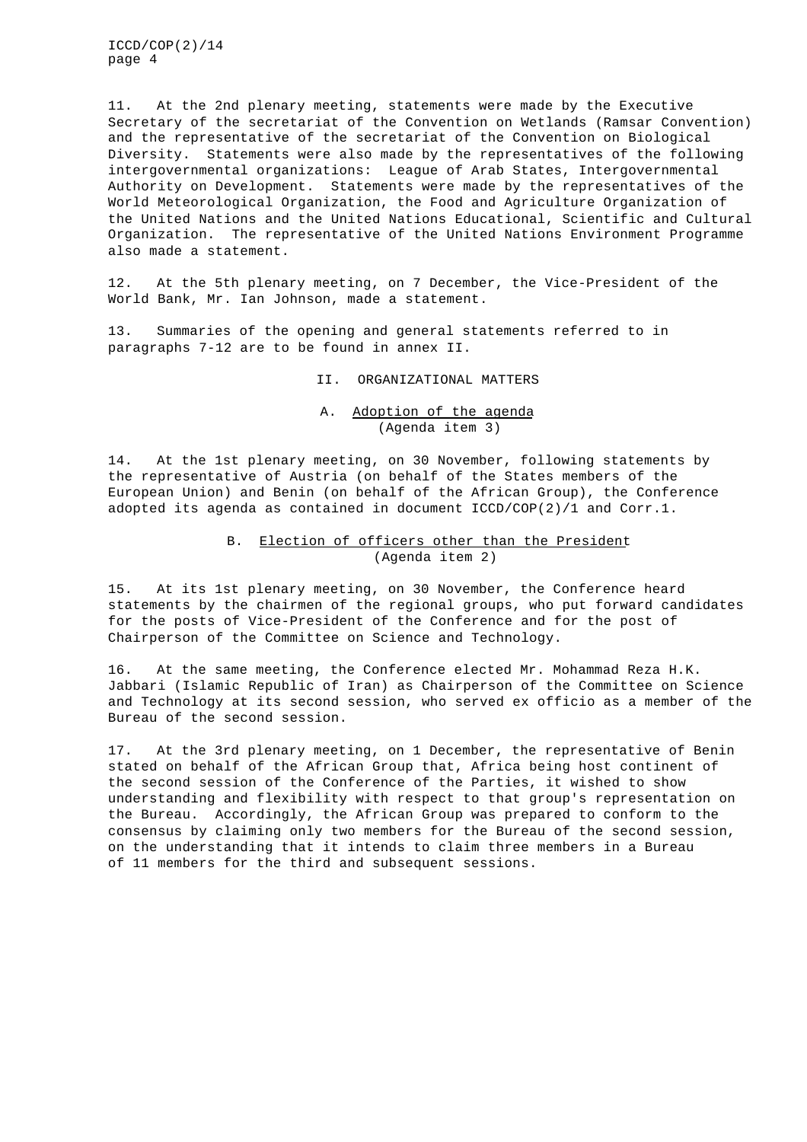11. At the 2nd plenary meeting, statements were made by the Executive Secretary of the secretariat of the Convention on Wetlands (Ramsar Convention) and the representative of the secretariat of the Convention on Biological Diversity. Statements were also made by the representatives of the following intergovernmental organizations: League of Arab States, Intergovernmental Authority on Development. Statements were made by the representatives of the World Meteorological Organization, the Food and Agriculture Organization of the United Nations and the United Nations Educational, Scientific and Cultural Organization. The representative of the United Nations Environment Programme also made a statement.

12. At the 5th plenary meeting, on 7 December, the Vice-President of the World Bank, Mr. Ian Johnson, made a statement.

13. Summaries of the opening and general statements referred to in paragraphs 7-12 are to be found in annex II.

II. ORGANIZATIONAL MATTERS

### A. Adoption of the agenda (Agenda item 3)

14. At the 1st plenary meeting, on 30 November, following statements by the representative of Austria (on behalf of the States members of the European Union) and Benin (on behalf of the African Group), the Conference adopted its agenda as contained in document ICCD/COP(2)/1 and Corr.1.

### B. Election of officers other than the President (Agenda item 2)

15. At its 1st plenary meeting, on 30 November, the Conference heard statements by the chairmen of the regional groups, who put forward candidates for the posts of Vice-President of the Conference and for the post of Chairperson of the Committee on Science and Technology.

16. At the same meeting, the Conference elected Mr. Mohammad Reza H.K. Jabbari (Islamic Republic of Iran) as Chairperson of the Committee on Science and Technology at its second session, who served ex officio as a member of the Bureau of the second session.

17. At the 3rd plenary meeting, on 1 December, the representative of Benin stated on behalf of the African Group that, Africa being host continent of the second session of the Conference of the Parties, it wished to show understanding and flexibility with respect to that group's representation on the Bureau. Accordingly, the African Group was prepared to conform to the consensus by claiming only two members for the Bureau of the second session, on the understanding that it intends to claim three members in a Bureau of 11 members for the third and subsequent sessions.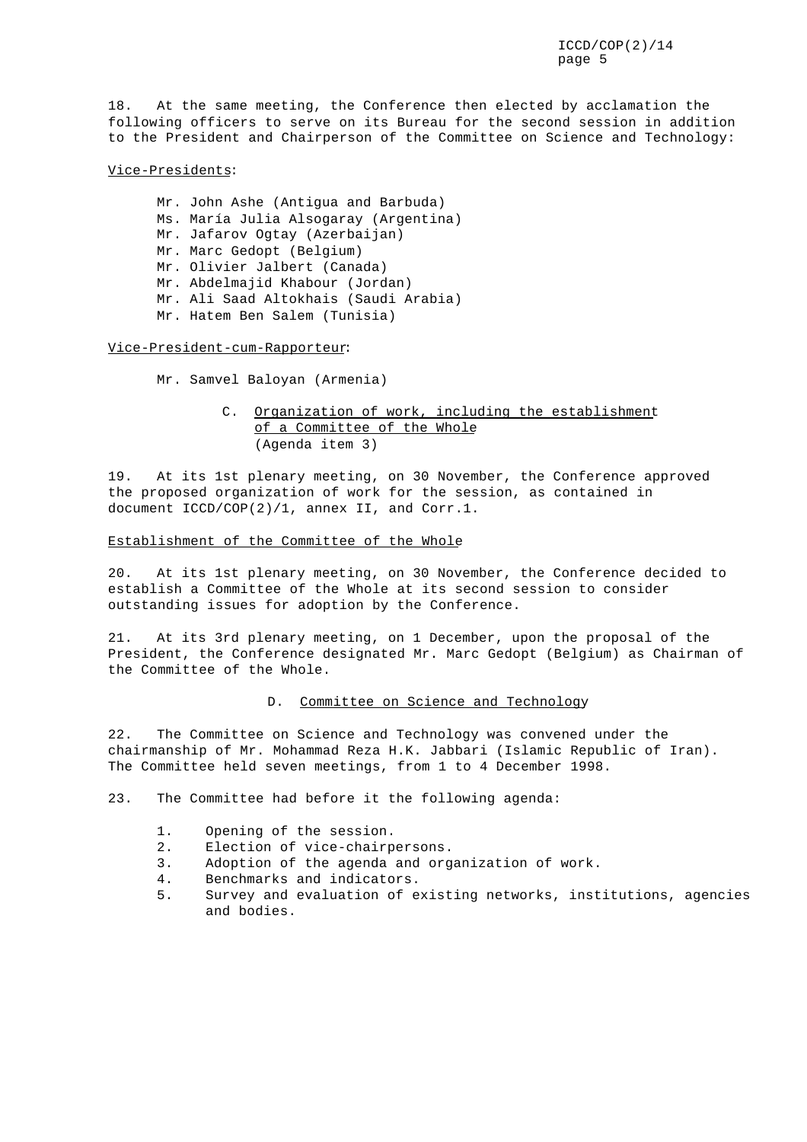18. At the same meeting, the Conference then elected by acclamation the following officers to serve on its Bureau for the second session in addition to the President and Chairperson of the Committee on Science and Technology:

### Vice-Presidents:

Mr. John Ashe (Antigua and Barbuda) Ms. María Julia Alsogaray (Argentina) Mr. Jafarov Ogtay (Azerbaijan) Mr. Marc Gedopt (Belgium) Mr. Olivier Jalbert (Canada) Mr. Abdelmajid Khabour (Jordan) Mr. Ali Saad Altokhais (Saudi Arabia) Mr. Hatem Ben Salem (Tunisia)

### Vice-President-cum-Rapporteur:

Mr. Samvel Baloyan (Armenia)

# C. Organization of work, including the establishment of a Committee of the Whole (Agenda item 3)

19. At its 1st plenary meeting, on 30 November, the Conference approved the proposed organization of work for the session, as contained in document ICCD/COP(2)/1, annex II, and Corr.1.

#### Establishment of the Committee of the Whole

20. At its 1st plenary meeting, on 30 November, the Conference decided to establish a Committee of the Whole at its second session to consider outstanding issues for adoption by the Conference.

21. At its 3rd plenary meeting, on 1 December, upon the proposal of the President, the Conference designated Mr. Marc Gedopt (Belgium) as Chairman of the Committee of the Whole.

#### D. Committee on Science and Technology

22. The Committee on Science and Technology was convened under the chairmanship of Mr. Mohammad Reza H.K. Jabbari (Islamic Republic of Iran). The Committee held seven meetings, from 1 to 4 December 1998.

23. The Committee had before it the following agenda:

- 1. Opening of the session.
- 2. Election of vice-chairpersons.
- 3. Adoption of the agenda and organization of work.
- 4. Benchmarks and indicators.
- 5. Survey and evaluation of existing networks, institutions, agencies and bodies.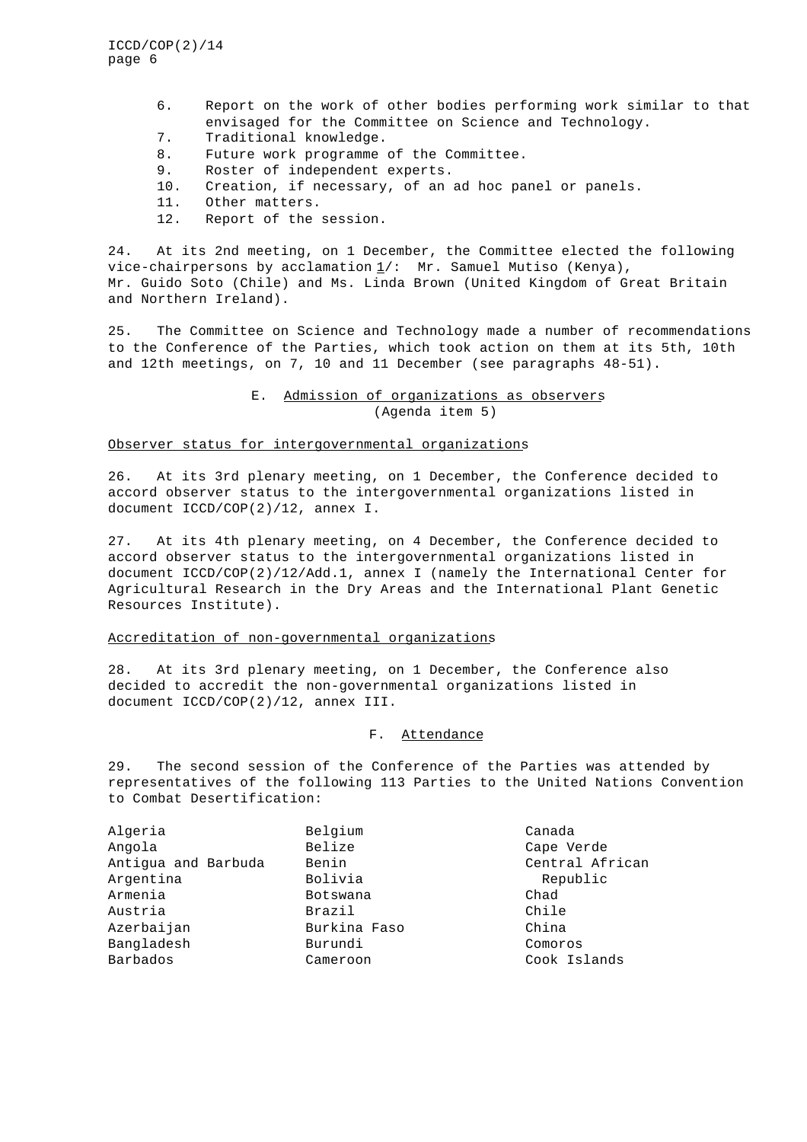- 6. Report on the work of other bodies performing work similar to that envisaged for the Committee on Science and Technology.
- 7. Traditional knowledge.
- 8. Future work programme of the Committee.
- 9. Roster of independent experts.
- 10. Creation, if necessary, of an ad hoc panel or panels.
- 11. Other matters.
- 12. Report of the session.

24. At its 2nd meeting, on 1 December, the Committee elected the following vice-chairpersons by acclamation  $\underline{1}/:$  Mr. Samuel Mutiso (Kenya), Mr. Guido Soto (Chile) and Ms. Linda Brown (United Kingdom of Great Britain and Northern Ireland).

25. The Committee on Science and Technology made a number of recommendations to the Conference of the Parties, which took action on them at its 5th, 10th and 12th meetings, on 7, 10 and 11 December (see paragraphs 48-51).

### E. Admission of organizations as observers (Agenda item 5)

#### Observer status for intergovernmental organizations

26. At its 3rd plenary meeting, on 1 December, the Conference decided to accord observer status to the intergovernmental organizations listed in document ICCD/COP(2)/12, annex I.

27. At its 4th plenary meeting, on 4 December, the Conference decided to accord observer status to the intergovernmental organizations listed in document ICCD/COP(2)/12/Add.1, annex I (namely the International Center for Agricultural Research in the Dry Areas and the International Plant Genetic Resources Institute).

### Accreditation of non-governmental organizations

28. At its 3rd plenary meeting, on 1 December, the Conference also decided to accredit the non-governmental organizations listed in document ICCD/COP(2)/12, annex III.

### F. Attendance

29. The second session of the Conference of the Parties was attended by representatives of the following 113 Parties to the United Nations Convention to Combat Desertification:

| Algeria             | Belgium      | Canada          |
|---------------------|--------------|-----------------|
| Angola              | Belize       | Cape Verde      |
| Antigua and Barbuda | Benin        | Central African |
| Argentina           | Bolivia      | Republic        |
| Armenia             | Botswana     | Chad            |
| Austria             | Brazil       | Chile           |
| Azerbaijan          | Burkina Faso | China           |
| Bangladesh          | Burundi      | Comoros         |
| Barbados            | Cameroon     | Cook Islands    |
|                     |              |                 |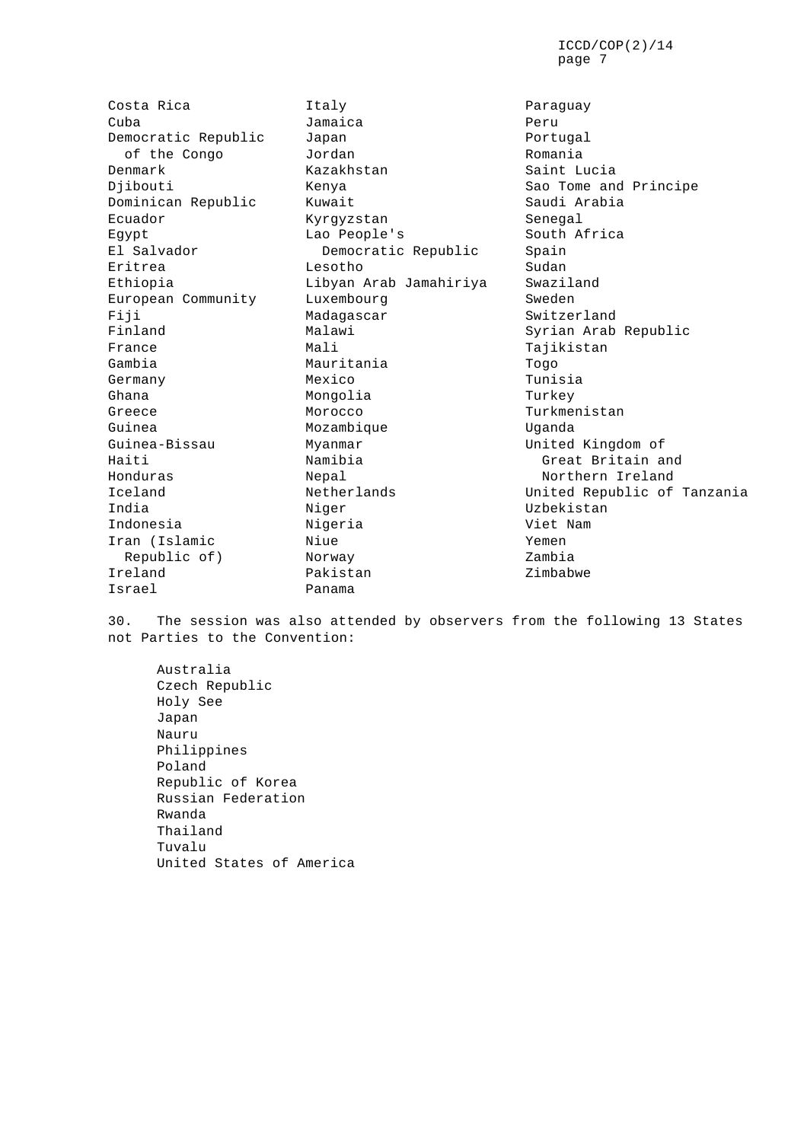Costa Rica **Italy** Paraguay Cuba Jamaica Peru Democratic Republic Japan Democratic Republic Dapan Denmark Kazakhstan Saint Lucia Djibouti Kenya Sao Tome and Principe Dominican Republic Kuwait Ecuador Kyrgyzstan Senegal Egypt Lao People's South Africa El Salvador Democratic Republic Spain Eritrea Lesotho Sudan Ethiopia  $Libyan$  Arab Jamahiriya European Community Luxembourg Current Sweden Fiji Madagascar Switzerland Finland Malawi Malawi Syrian Arab Republic France Mali Manuel Manuel Manuel Manuel Manuel Manuel Manuel Tajikistan Gambia Mauritania Togo Germany Mexico Tunisia Ghana **Mongolia** Mongolia Turkey Greece Morocco Monocco Turkmenistan Guinea Mozambique Uganda Guinea-Bissau Myanmar Myanmar United Kingdom of Haiti Namibia Great Britain and Honduras Nepal Northern Ireland India 1992 Niger 1993 Niger Niger 1994 Niger 1994 Niger 1995 Niger 1997 Niger 1997 Niger 1997 Niger 1997 Niger Indonesia  $N$ igeria  $V$ iet Nam Iran (Islamic Niue Yemen Republic of) Norway Ireland Pakistan Zimbabwe

of the Congo Sordan and Romania Israel Panama

Iceland Netherlands United Republic of Tanzania

30. The session was also attended by observers from the following 13 States not Parties to the Convention:

Australia Czech Republic Holy See Japan Nauru Philippines Poland Republic of Korea Russian Federation Rwanda Thailand Tuvalu United States of America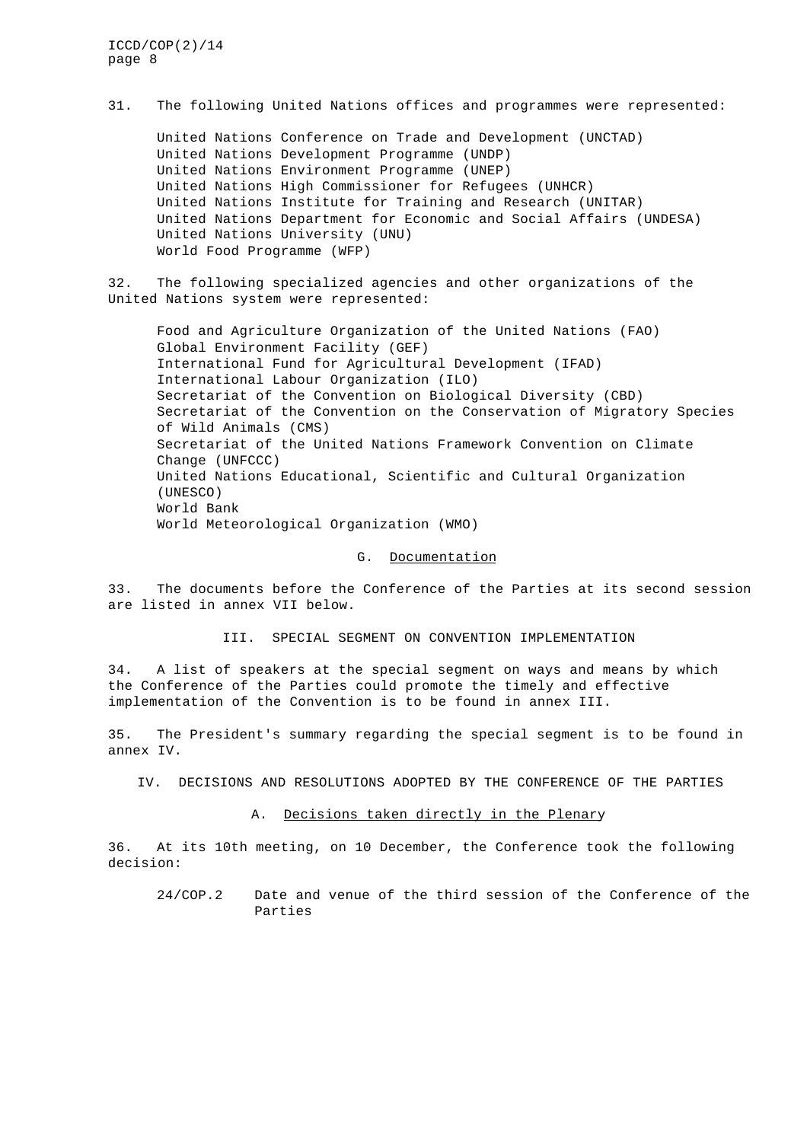31. The following United Nations offices and programmes were represented:

United Nations Conference on Trade and Development (UNCTAD) United Nations Development Programme (UNDP) United Nations Environment Programme (UNEP) United Nations High Commissioner for Refugees (UNHCR) United Nations Institute for Training and Research (UNITAR) United Nations Department for Economic and Social Affairs (UNDESA) United Nations University (UNU) World Food Programme (WFP)

32. The following specialized agencies and other organizations of the United Nations system were represented:

Food and Agriculture Organization of the United Nations (FAO) Global Environment Facility (GEF) International Fund for Agricultural Development (IFAD) International Labour Organization (ILO) Secretariat of the Convention on Biological Diversity (CBD) Secretariat of the Convention on the Conservation of Migratory Species of Wild Animals (CMS) Secretariat of the United Nations Framework Convention on Climate Change (UNFCCC) United Nations Educational, Scientific and Cultural Organization (UNESCO) World Bank World Meteorological Organization (WMO)

#### G. Documentation

33. The documents before the Conference of the Parties at its second session are listed in annex VII below.

III. SPECIAL SEGMENT ON CONVENTION IMPLEMENTATION

34. A list of speakers at the special segment on ways and means by which the Conference of the Parties could promote the timely and effective implementation of the Convention is to be found in annex III.

35. The President's summary regarding the special segment is to be found in annex IV.

IV. DECISIONS AND RESOLUTIONS ADOPTED BY THE CONFERENCE OF THE PARTIES

### A. Decisions taken directly in the Plenary

36. At its 10th meeting, on 10 December, the Conference took the following decision:

24/COP.2 Date and venue of the third session of the Conference of the Parties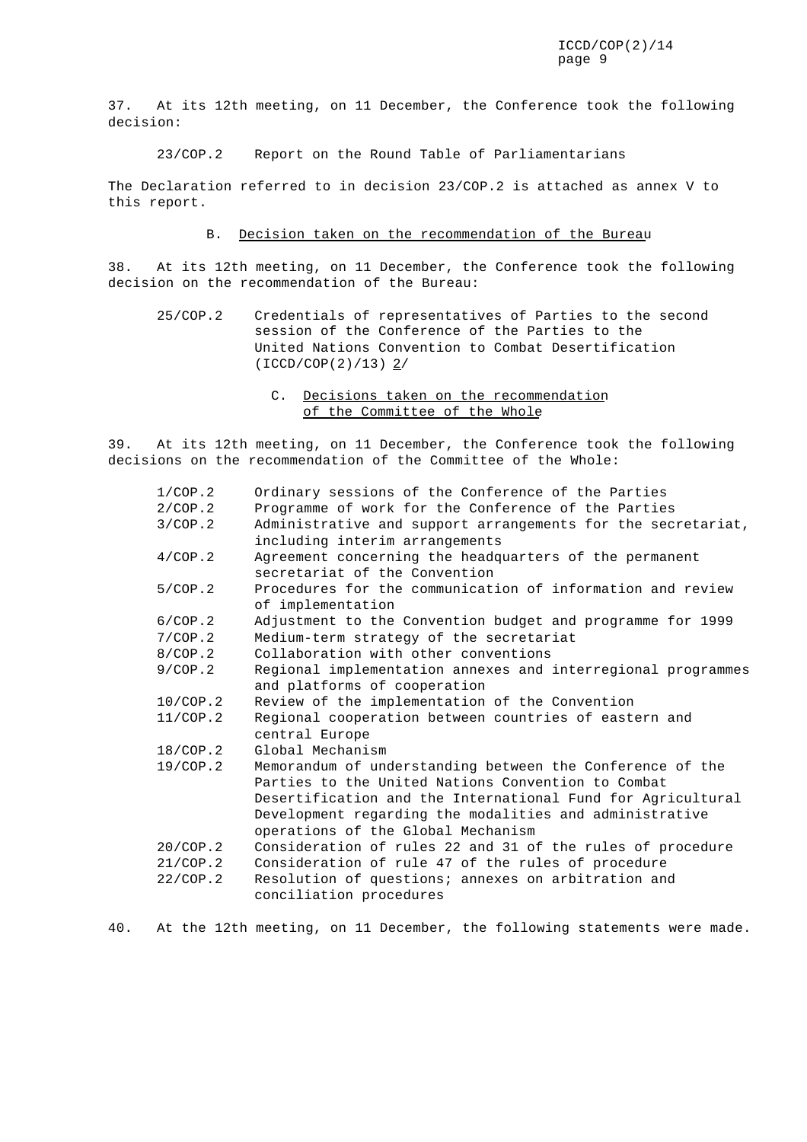37. At its 12th meeting, on 11 December, the Conference took the following decision:

23/COP.2 Report on the Round Table of Parliamentarians

The Declaration referred to in decision 23/COP.2 is attached as annex V to this report.

### B. Decision taken on the recommendation of the Bureau

38. At its 12th meeting, on 11 December, the Conference took the following decision on the recommendation of the Bureau:

- 25/COP.2 Credentials of representatives of Parties to the second session of the Conference of the Parties to the United Nations Convention to Combat Desertification (ICCD/COP(2)/13) 2/
	- C. Decisions taken on the recommendation of the Committee of the Whole

39. At its 12th meeting, on 11 December, the Conference took the following decisions on the recommendation of the Committee of the Whole:

| 1/CDP.2  | Ordinary sessions of the Conference of the Parties           |
|----------|--------------------------------------------------------------|
| 2/COP.2  | Programme of work for the Conference of the Parties          |
| 3/COP.2  | Administrative and support arrangements for the secretariat, |
|          | including interim arrangements                               |
| 4/COP.2  | Agreement concerning the headquarters of the permanent       |
|          | secretariat of the Convention                                |
| 5/COP.2  | Procedures for the communication of information and review   |
|          | of implementation                                            |
| 6/COP.2  | Adjustment to the Convention budget and programme for 1999   |
| 7/COP.2  | Medium-term strategy of the secretariat                      |
| 8/COP.2  | Collaboration with other conventions                         |
| 9/COP.2  | Regional implementation annexes and interregional programmes |
|          | and platforms of cooperation                                 |
| 10/COP.2 | Review of the implementation of the Convention               |
| 11/COP.2 | Regional cooperation between countries of eastern and        |
|          | central Europe                                               |
| 18/COP.2 | Global Mechanism                                             |
| 19/COP.2 | Memorandum of understanding between the Conference of the    |
|          | Parties to the United Nations Convention to Combat           |
|          | Desertification and the International Fund for Agricultural  |
|          | Development regarding the modalities and administrative      |
|          | operations of the Global Mechanism                           |
| 20/COP.2 | Consideration of rules 22 and 31 of the rules of procedure   |
| 21/COP.2 | Consideration of rule 47 of the rules of procedure           |
| 22/COP.2 | Resolution of questions; annexes on arbitration and          |
|          | conciliation procedures                                      |
|          |                                                              |

40. At the 12th meeting, on 11 December, the following statements were made.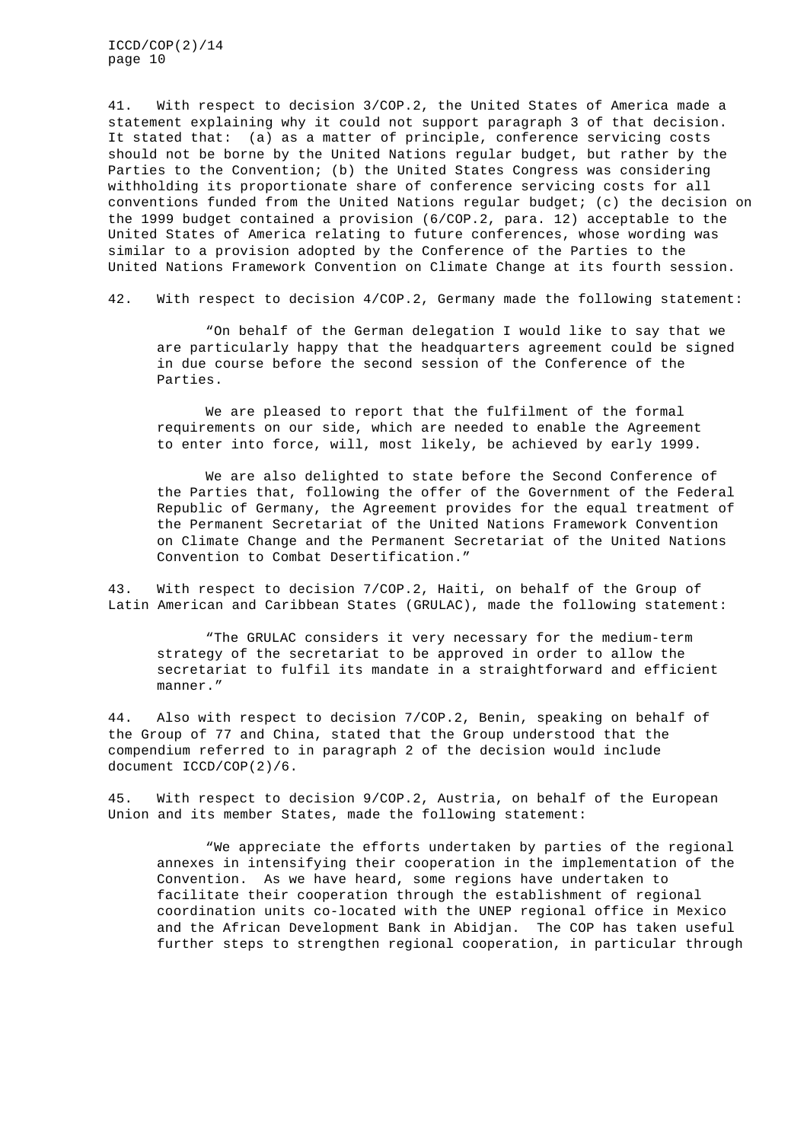41. With respect to decision 3/COP.2, the United States of America made a statement explaining why it could not support paragraph 3 of that decision. It stated that: (a) as a matter of principle, conference servicing costs should not be borne by the United Nations regular budget, but rather by the Parties to the Convention; (b) the United States Congress was considering withholding its proportionate share of conference servicing costs for all conventions funded from the United Nations regular budget; (c) the decision on the 1999 budget contained a provision (6/COP.2, para. 12) acceptable to the United States of America relating to future conferences, whose wording was similar to a provision adopted by the Conference of the Parties to the United Nations Framework Convention on Climate Change at its fourth session.

42. With respect to decision 4/COP.2, Germany made the following statement:

"On behalf of the German delegation I would like to say that we are particularly happy that the headquarters agreement could be signed in due course before the second session of the Conference of the Parties.

We are pleased to report that the fulfilment of the formal requirements on our side, which are needed to enable the Agreement to enter into force, will, most likely, be achieved by early 1999.

We are also delighted to state before the Second Conference of the Parties that, following the offer of the Government of the Federal Republic of Germany, the Agreement provides for the equal treatment of the Permanent Secretariat of the United Nations Framework Convention on Climate Change and the Permanent Secretariat of the United Nations Convention to Combat Desertification."

43. With respect to decision 7/COP.2, Haiti, on behalf of the Group of Latin American and Caribbean States (GRULAC), made the following statement:

"The GRULAC considers it very necessary for the medium-term strategy of the secretariat to be approved in order to allow the secretariat to fulfil its mandate in a straightforward and efficient manner."

44. Also with respect to decision 7/COP.2, Benin, speaking on behalf of the Group of 77 and China, stated that the Group understood that the compendium referred to in paragraph 2 of the decision would include document ICCD/COP(2)/6.

45. With respect to decision 9/COP.2, Austria, on behalf of the European Union and its member States, made the following statement:

"We appreciate the efforts undertaken by parties of the regional annexes in intensifying their cooperation in the implementation of the Convention. As we have heard, some regions have undertaken to facilitate their cooperation through the establishment of regional coordination units co-located with the UNEP regional office in Mexico and the African Development Bank in Abidjan. The COP has taken useful further steps to strengthen regional cooperation, in particular through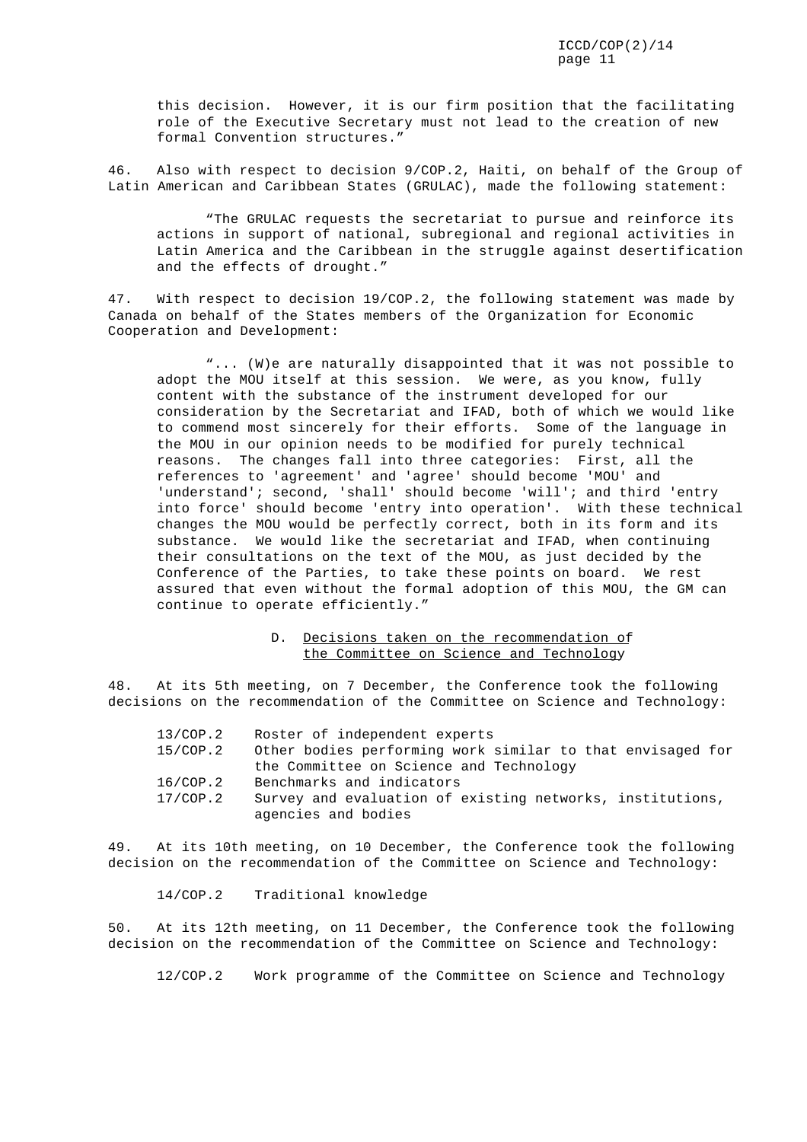this decision. However, it is our firm position that the facilitating role of the Executive Secretary must not lead to the creation of new formal Convention structures."

46. Also with respect to decision 9/COP.2, Haiti, on behalf of the Group of Latin American and Caribbean States (GRULAC), made the following statement:

"The GRULAC requests the secretariat to pursue and reinforce its actions in support of national, subregional and regional activities in Latin America and the Caribbean in the struggle against desertification and the effects of drought."

47. With respect to decision 19/COP.2, the following statement was made by Canada on behalf of the States members of the Organization for Economic Cooperation and Development:

"... (W)e are naturally disappointed that it was not possible to adopt the MOU itself at this session. We were, as you know, fully content with the substance of the instrument developed for our consideration by the Secretariat and IFAD, both of which we would like to commend most sincerely for their efforts. Some of the language in the MOU in our opinion needs to be modified for purely technical reasons. The changes fall into three categories: First, all the references to 'agreement' and 'agree' should become 'MOU' and 'understand'; second, 'shall' should become 'will'; and third 'entry into force' should become 'entry into operation'. With these technical changes the MOU would be perfectly correct, both in its form and its substance. We would like the secretariat and IFAD, when continuing their consultations on the text of the MOU, as just decided by the Conference of the Parties, to take these points on board. We rest assured that even without the formal adoption of this MOU, the GM can continue to operate efficiently."

### D. Decisions taken on the recommendation of the Committee on Science and Technology

48. At its 5th meeting, on 7 December, the Conference took the following decisions on the recommendation of the Committee on Science and Technology:

| 13/COP.2 | Roster of independent experts                              |
|----------|------------------------------------------------------------|
| 15/COP.2 | Other bodies performing work similar to that envisaged for |
|          | the Committee on Science and Technology                    |
| 16/COP.2 | Benchmarks and indicators                                  |
| 17/COP.2 | Survey and evaluation of existing networks, institutions,  |
|          | agencies and bodies                                        |

49. At its 10th meeting, on 10 December, the Conference took the following decision on the recommendation of the Committee on Science and Technology:

14/COP.2 Traditional knowledge

50. At its 12th meeting, on 11 December, the Conference took the following decision on the recommendation of the Committee on Science and Technology:

12/COP.2 Work programme of the Committee on Science and Technology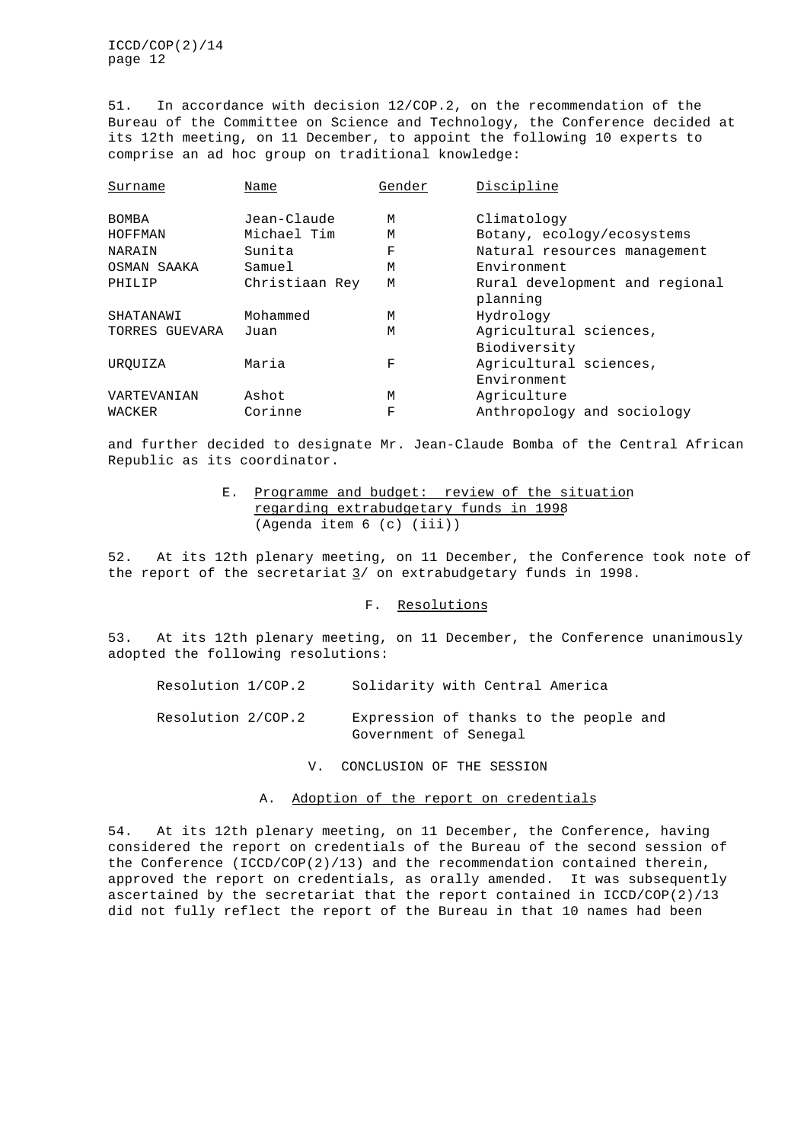51. In accordance with decision 12/COP.2, on the recommendation of the Bureau of the Committee on Science and Technology, the Conference decided at its 12th meeting, on 11 December, to appoint the following 10 experts to comprise an ad hoc group on traditional knowledge:

| Surname        | Name           | Gender | Discipline                     |
|----------------|----------------|--------|--------------------------------|
| <b>BOMBA</b>   | Jean-Claude    | M      | Climatology                    |
| <b>HOFFMAN</b> | Michael Tim    | M      | Botany, ecology/ecosystems     |
| NARAIN         | Sunita         | F      | Natural resources management   |
| OSMAN SAAKA    | Samuel         | M      | Environment                    |
| PHILIP         | Christiaan Rey | M      | Rural development and regional |
|                |                |        | planning                       |
| SHATANAWI      | Mohammed       | M      | Hydrology                      |
| TORRES GUEVARA | Juan           | М      | Agricultural sciences,         |
|                |                |        | Biodiversity                   |
| UROUIZA        | Maria          | F      | Agricultural sciences,         |
|                |                |        | Environment                    |
| VARTEVANIAN    | Ashot          | M      | Agriculture                    |
| WACKER         | Corinne        | F      | Anthropology and sociology     |

and further decided to designate Mr. Jean-Claude Bomba of the Central African Republic as its coordinator.

### E. Programme and budget: review of the situation regarding extrabudgetary funds in 1998 (Agenda item 6 (c) (iii))

52. At its 12th plenary meeting, on 11 December, the Conference took note of the report of the secretariat  $\frac{3}{ }$  on extrabudgetary funds in 1998.

### F. Resolutions

53. At its 12th plenary meeting, on 11 December, the Conference unanimously adopted the following resolutions:

Resolution 1/COP.2 Solidarity with Central America

Resolution 2/COP.2 Expression of thanks to the people and Government of Senegal

V. CONCLUSION OF THE SESSION

### A. Adoption of the report on credentials

54. At its 12th plenary meeting, on 11 December, the Conference, having considered the report on credentials of the Bureau of the second session of the Conference (ICCD/COP(2)/13) and the recommendation contained therein, approved the report on credentials, as orally amended. It was subsequently ascertained by the secretariat that the report contained in ICCD/COP(2)/13 did not fully reflect the report of the Bureau in that 10 names had been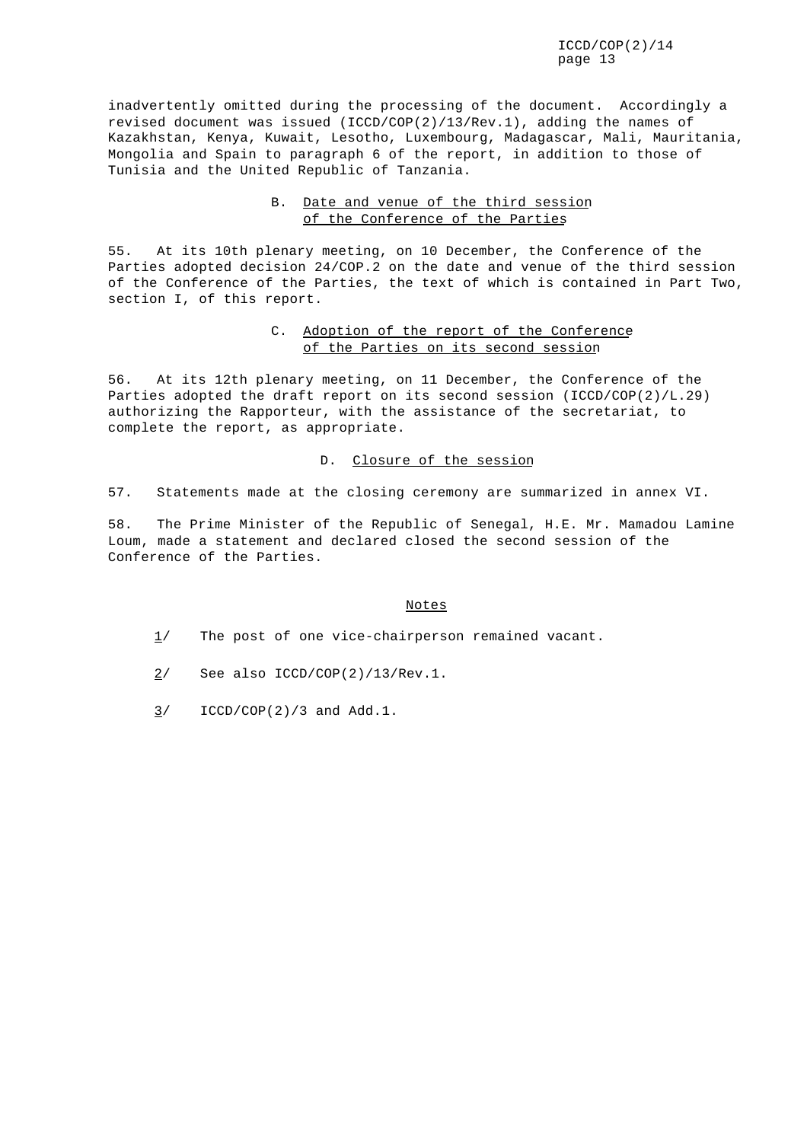inadvertently omitted during the processing of the document. Accordingly a revised document was issued (ICCD/COP(2)/13/Rev.1), adding the names of Kazakhstan, Kenya, Kuwait, Lesotho, Luxembourg, Madagascar, Mali, Mauritania, Mongolia and Spain to paragraph 6 of the report, in addition to those of Tunisia and the United Republic of Tanzania.

# B. Date and venue of the third session of the Conference of the Parties

55. At its 10th plenary meeting, on 10 December, the Conference of the Parties adopted decision 24/COP.2 on the date and venue of the third session of the Conference of the Parties, the text of which is contained in Part Two, section I, of this report.

### C. Adoption of the report of the Conference of the Parties on its second session

56. At its 12th plenary meeting, on 11 December, the Conference of the Parties adopted the draft report on its second session (ICCD/COP(2)/L.29) authorizing the Rapporteur, with the assistance of the secretariat, to complete the report, as appropriate.

### D. Closure of the session

57. Statements made at the closing ceremony are summarized in annex VI.

58. The Prime Minister of the Republic of Senegal, H.E. Mr. Mamadou Lamine Loum, made a statement and declared closed the second session of the Conference of the Parties.

### Notes

- $1/$  The post of one vice-chairperson remained vacant.
- $2/$  See also ICCD/COP(2)/13/Rev.1.
- $3/$  ICCD/COP(2)/3 and Add.1.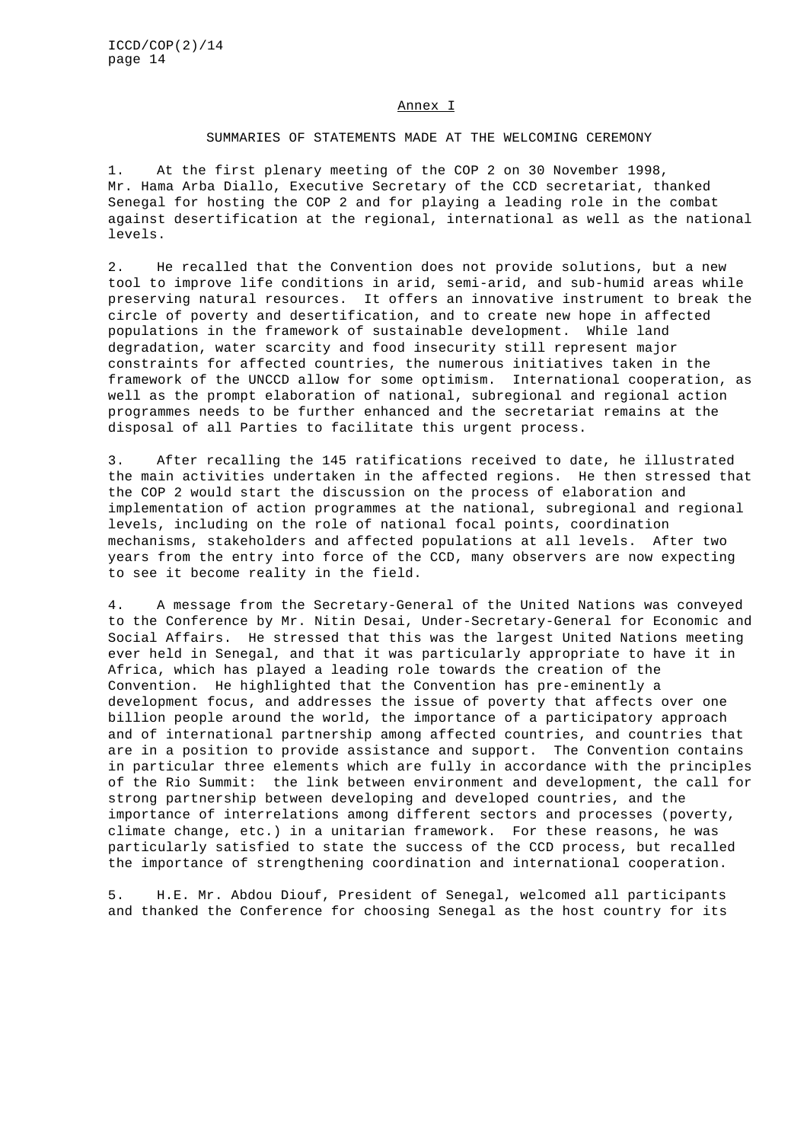#### Annex I

#### SUMMARIES OF STATEMENTS MADE AT THE WELCOMING CEREMONY

1. At the first plenary meeting of the COP 2 on 30 November 1998, Mr. Hama Arba Diallo, Executive Secretary of the CCD secretariat, thanked Senegal for hosting the COP 2 and for playing a leading role in the combat against desertification at the regional, international as well as the national levels.

2. He recalled that the Convention does not provide solutions, but a new tool to improve life conditions in arid, semi-arid, and sub-humid areas while preserving natural resources. It offers an innovative instrument to break the circle of poverty and desertification, and to create new hope in affected populations in the framework of sustainable development. While land degradation, water scarcity and food insecurity still represent major constraints for affected countries, the numerous initiatives taken in the framework of the UNCCD allow for some optimism. International cooperation, as well as the prompt elaboration of national, subregional and regional action programmes needs to be further enhanced and the secretariat remains at the disposal of all Parties to facilitate this urgent process.

3. After recalling the 145 ratifications received to date, he illustrated the main activities undertaken in the affected regions. He then stressed that the COP 2 would start the discussion on the process of elaboration and implementation of action programmes at the national, subregional and regional levels, including on the role of national focal points, coordination mechanisms, stakeholders and affected populations at all levels. After two years from the entry into force of the CCD, many observers are now expecting to see it become reality in the field.

4. A message from the Secretary-General of the United Nations was conveyed to the Conference by Mr. Nitin Desai, Under-Secretary-General for Economic and Social Affairs. He stressed that this was the largest United Nations meeting ever held in Senegal, and that it was particularly appropriate to have it in Africa, which has played a leading role towards the creation of the Convention. He highlighted that the Convention has pre-eminently a development focus, and addresses the issue of poverty that affects over one billion people around the world, the importance of a participatory approach and of international partnership among affected countries, and countries that are in a position to provide assistance and support. The Convention contains in particular three elements which are fully in accordance with the principles of the Rio Summit: the link between environment and development, the call for strong partnership between developing and developed countries, and the importance of interrelations among different sectors and processes (poverty, climate change, etc.) in a unitarian framework. For these reasons, he was particularly satisfied to state the success of the CCD process, but recalled the importance of strengthening coordination and international cooperation.

5. H.E. Mr. Abdou Diouf, President of Senegal, welcomed all participants and thanked the Conference for choosing Senegal as the host country for its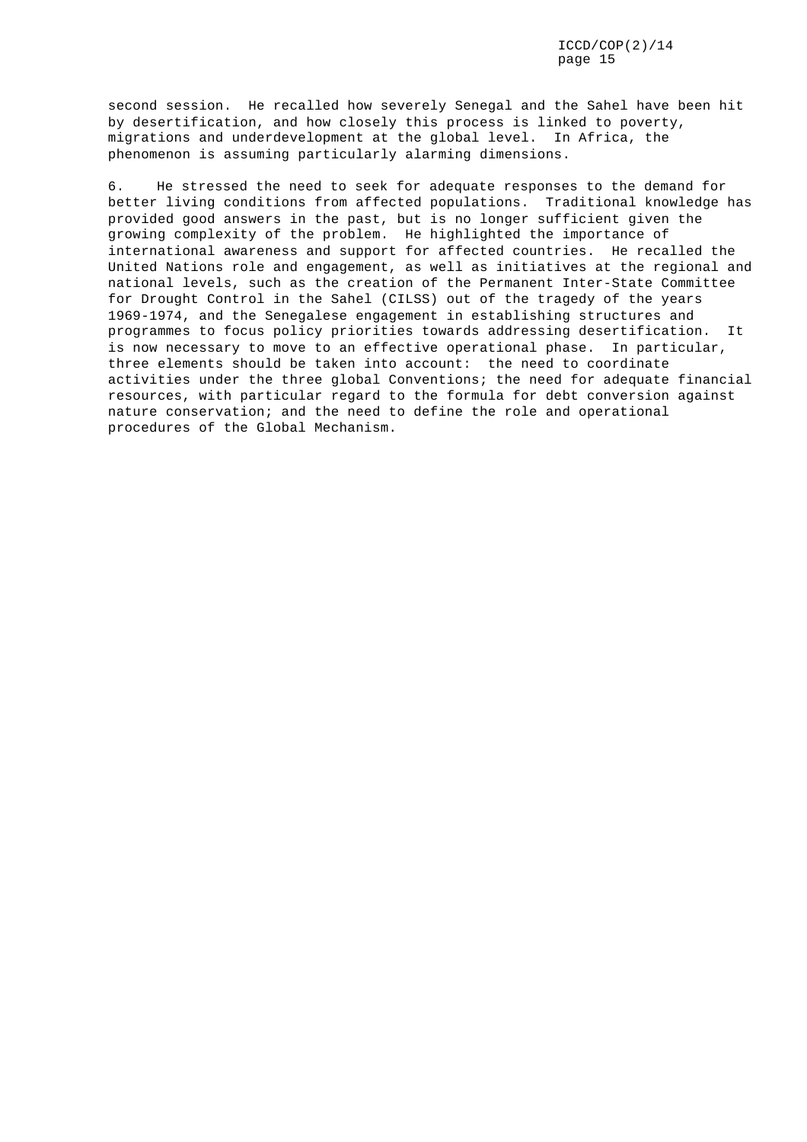second session. He recalled how severely Senegal and the Sahel have been hit by desertification, and how closely this process is linked to poverty, migrations and underdevelopment at the global level. In Africa, the phenomenon is assuming particularly alarming dimensions.

6. He stressed the need to seek for adequate responses to the demand for better living conditions from affected populations. Traditional knowledge has provided good answers in the past, but is no longer sufficient given the growing complexity of the problem. He highlighted the importance of international awareness and support for affected countries. He recalled the United Nations role and engagement, as well as initiatives at the regional and national levels, such as the creation of the Permanent Inter-State Committee for Drought Control in the Sahel (CILSS) out of the tragedy of the years 1969-1974, and the Senegalese engagement in establishing structures and programmes to focus policy priorities towards addressing desertification. It is now necessary to move to an effective operational phase. In particular, three elements should be taken into account: the need to coordinate activities under the three global Conventions; the need for adequate financial resources, with particular regard to the formula for debt conversion against nature conservation; and the need to define the role and operational procedures of the Global Mechanism.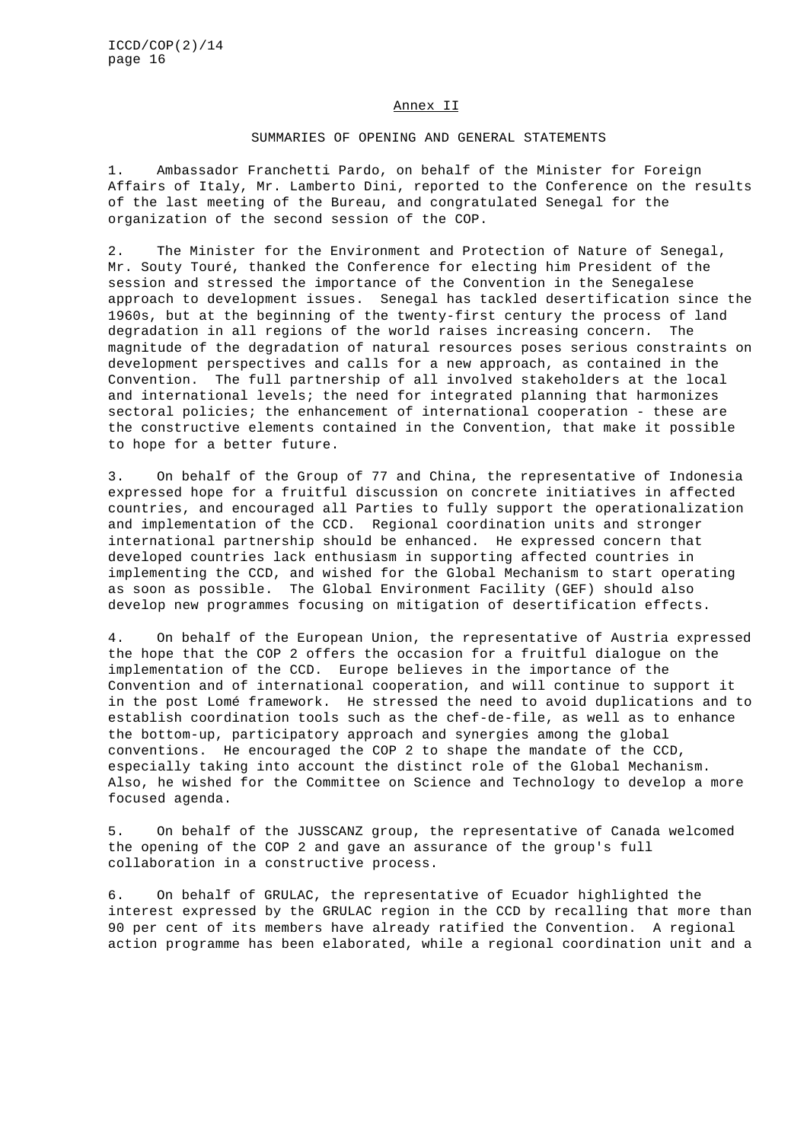#### Annex II

### SUMMARIES OF OPENING AND GENERAL STATEMENTS

1. Ambassador Franchetti Pardo, on behalf of the Minister for Foreign Affairs of Italy, Mr. Lamberto Dini, reported to the Conference on the results of the last meeting of the Bureau, and congratulated Senegal for the organization of the second session of the COP.

2. The Minister for the Environment and Protection of Nature of Senegal, Mr. Souty Touré, thanked the Conference for electing him President of the session and stressed the importance of the Convention in the Senegalese approach to development issues. Senegal has tackled desertification since the 1960s, but at the beginning of the twenty-first century the process of land degradation in all regions of the world raises increasing concern. The magnitude of the degradation of natural resources poses serious constraints on development perspectives and calls for a new approach, as contained in the Convention. The full partnership of all involved stakeholders at the local and international levels; the need for integrated planning that harmonizes sectoral policies; the enhancement of international cooperation - these are the constructive elements contained in the Convention, that make it possible to hope for a better future.

3. On behalf of the Group of 77 and China, the representative of Indonesia expressed hope for a fruitful discussion on concrete initiatives in affected countries, and encouraged all Parties to fully support the operationalization and implementation of the CCD. Regional coordination units and stronger international partnership should be enhanced. He expressed concern that developed countries lack enthusiasm in supporting affected countries in implementing the CCD, and wished for the Global Mechanism to start operating as soon as possible. The Global Environment Facility (GEF) should also develop new programmes focusing on mitigation of desertification effects.

4. On behalf of the European Union, the representative of Austria expressed the hope that the COP 2 offers the occasion for a fruitful dialogue on the implementation of the CCD. Europe believes in the importance of the Convention and of international cooperation, and will continue to support it in the post Lomé framework. He stressed the need to avoid duplications and to establish coordination tools such as the chef-de-file, as well as to enhance the bottom-up, participatory approach and synergies among the global conventions. He encouraged the COP 2 to shape the mandate of the CCD, especially taking into account the distinct role of the Global Mechanism. Also, he wished for the Committee on Science and Technology to develop a more focused agenda.

5. On behalf of the JUSSCANZ group, the representative of Canada welcomed the opening of the COP 2 and gave an assurance of the group's full collaboration in a constructive process.

6. On behalf of GRULAC, the representative of Ecuador highlighted the interest expressed by the GRULAC region in the CCD by recalling that more than 90 per cent of its members have already ratified the Convention. A regional action programme has been elaborated, while a regional coordination unit and a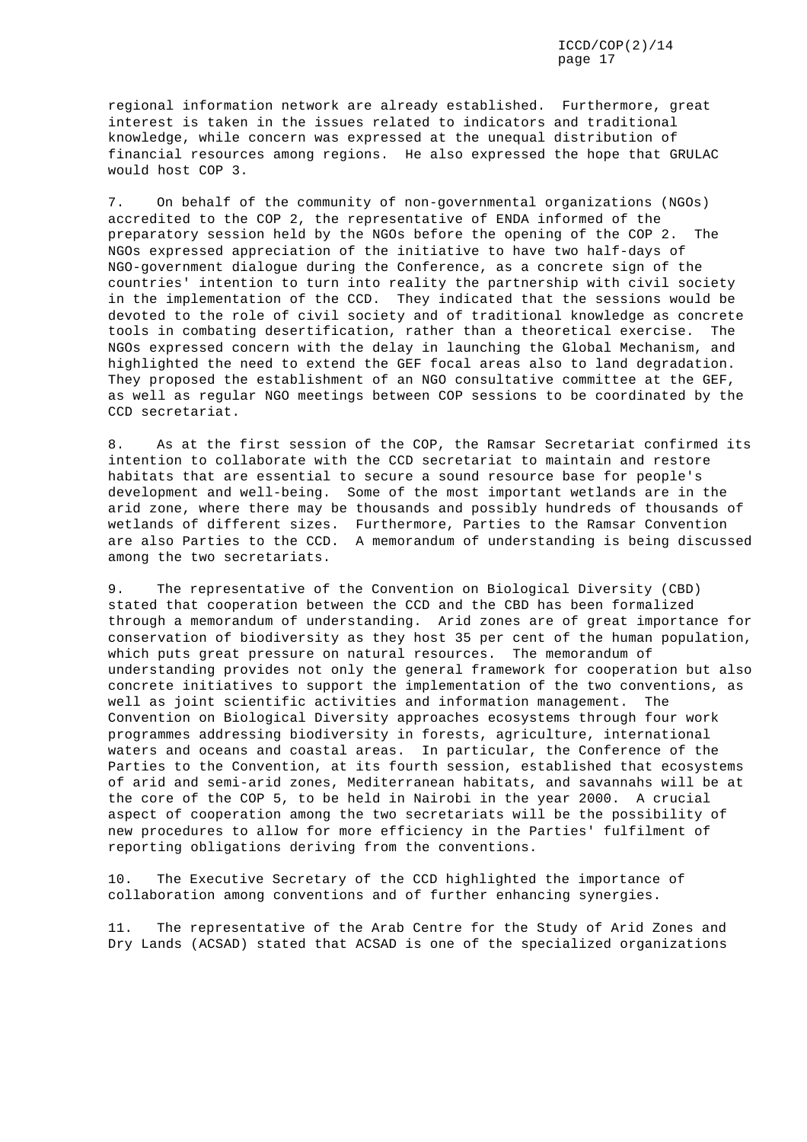regional information network are already established. Furthermore, great interest is taken in the issues related to indicators and traditional knowledge, while concern was expressed at the unequal distribution of financial resources among regions. He also expressed the hope that GRULAC would host COP 3.

7. On behalf of the community of non-governmental organizations (NGOs) accredited to the COP 2, the representative of ENDA informed of the preparatory session held by the NGOs before the opening of the COP 2. The NGOs expressed appreciation of the initiative to have two half-days of NGO-government dialogue during the Conference, as a concrete sign of the countries' intention to turn into reality the partnership with civil society in the implementation of the CCD. They indicated that the sessions would be devoted to the role of civil society and of traditional knowledge as concrete tools in combating desertification, rather than a theoretical exercise. The NGOs expressed concern with the delay in launching the Global Mechanism, and highlighted the need to extend the GEF focal areas also to land degradation. They proposed the establishment of an NGO consultative committee at the GEF, as well as regular NGO meetings between COP sessions to be coordinated by the CCD secretariat.

8. As at the first session of the COP, the Ramsar Secretariat confirmed its intention to collaborate with the CCD secretariat to maintain and restore habitats that are essential to secure a sound resource base for people's development and well-being. Some of the most important wetlands are in the arid zone, where there may be thousands and possibly hundreds of thousands of wetlands of different sizes. Furthermore, Parties to the Ramsar Convention are also Parties to the CCD. A memorandum of understanding is being discussed among the two secretariats.

9. The representative of the Convention on Biological Diversity (CBD) stated that cooperation between the CCD and the CBD has been formalized through a memorandum of understanding. Arid zones are of great importance for conservation of biodiversity as they host 35 per cent of the human population, which puts great pressure on natural resources. The memorandum of understanding provides not only the general framework for cooperation but also concrete initiatives to support the implementation of the two conventions, as well as joint scientific activities and information management. The Convention on Biological Diversity approaches ecosystems through four work programmes addressing biodiversity in forests, agriculture, international waters and oceans and coastal areas. In particular, the Conference of the Parties to the Convention, at its fourth session, established that ecosystems of arid and semi-arid zones, Mediterranean habitats, and savannahs will be at the core of the COP 5, to be held in Nairobi in the year 2000. A crucial aspect of cooperation among the two secretariats will be the possibility of new procedures to allow for more efficiency in the Parties' fulfilment of reporting obligations deriving from the conventions.

10. The Executive Secretary of the CCD highlighted the importance of collaboration among conventions and of further enhancing synergies.

11. The representative of the Arab Centre for the Study of Arid Zones and Dry Lands (ACSAD) stated that ACSAD is one of the specialized organizations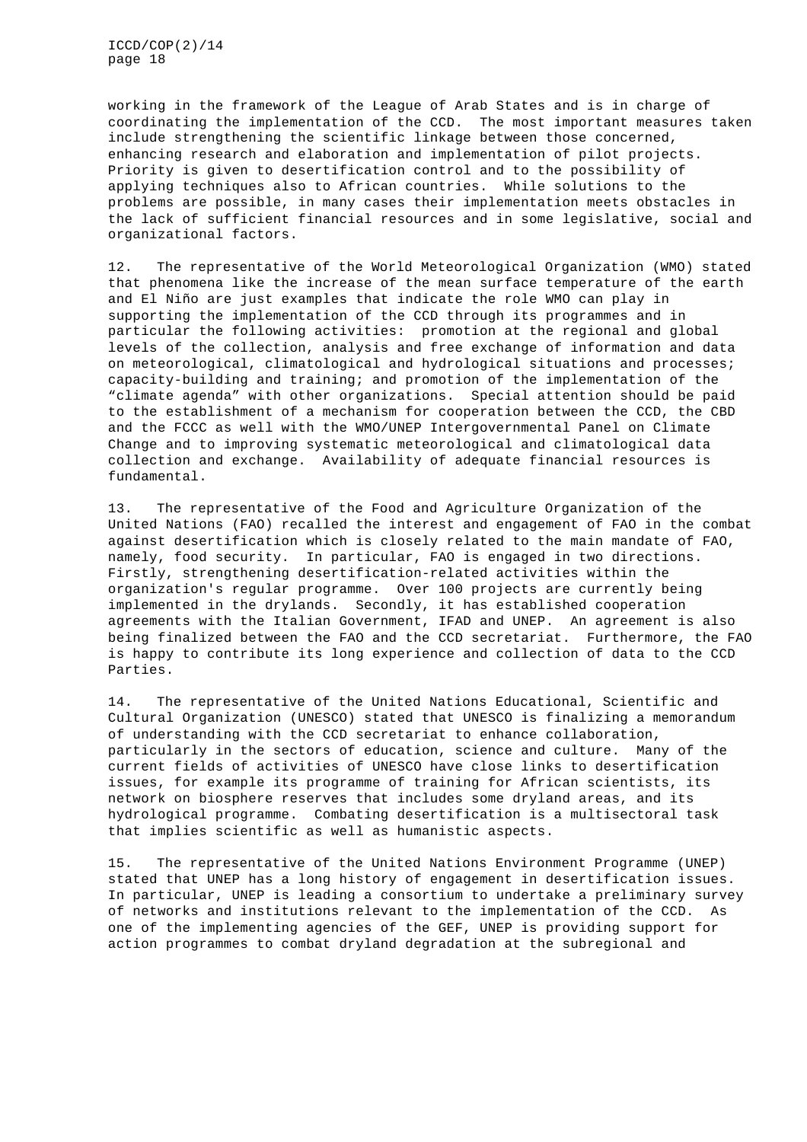working in the framework of the League of Arab States and is in charge of coordinating the implementation of the CCD. The most important measures taken include strengthening the scientific linkage between those concerned, enhancing research and elaboration and implementation of pilot projects. Priority is given to desertification control and to the possibility of applying techniques also to African countries. While solutions to the problems are possible, in many cases their implementation meets obstacles in the lack of sufficient financial resources and in some legislative, social and organizational factors.

12. The representative of the World Meteorological Organization (WMO) stated that phenomena like the increase of the mean surface temperature of the earth and El Niño are just examples that indicate the role WMO can play in supporting the implementation of the CCD through its programmes and in particular the following activities: promotion at the regional and global levels of the collection, analysis and free exchange of information and data on meteorological, climatological and hydrological situations and processes; capacity-building and training; and promotion of the implementation of the "climate agenda" with other organizations. Special attention should be paid to the establishment of a mechanism for cooperation between the CCD, the CBD and the FCCC as well with the WMO/UNEP Intergovernmental Panel on Climate Change and to improving systematic meteorological and climatological data collection and exchange. Availability of adequate financial resources is fundamental.

13. The representative of the Food and Agriculture Organization of the United Nations (FAO) recalled the interest and engagement of FAO in the combat against desertification which is closely related to the main mandate of FAO, namely, food security. In particular, FAO is engaged in two directions. Firstly, strengthening desertification-related activities within the organization's regular programme. Over 100 projects are currently being implemented in the drylands. Secondly, it has established cooperation agreements with the Italian Government, IFAD and UNEP. An agreement is also being finalized between the FAO and the CCD secretariat. Furthermore, the FAO is happy to contribute its long experience and collection of data to the CCD Parties.

14. The representative of the United Nations Educational, Scientific and Cultural Organization (UNESCO) stated that UNESCO is finalizing a memorandum of understanding with the CCD secretariat to enhance collaboration, particularly in the sectors of education, science and culture. Many of the current fields of activities of UNESCO have close links to desertification issues, for example its programme of training for African scientists, its network on biosphere reserves that includes some dryland areas, and its hydrological programme. Combating desertification is a multisectoral task that implies scientific as well as humanistic aspects.

15. The representative of the United Nations Environment Programme (UNEP) stated that UNEP has a long history of engagement in desertification issues. In particular, UNEP is leading a consortium to undertake a preliminary survey of networks and institutions relevant to the implementation of the CCD. As one of the implementing agencies of the GEF, UNEP is providing support for action programmes to combat dryland degradation at the subregional and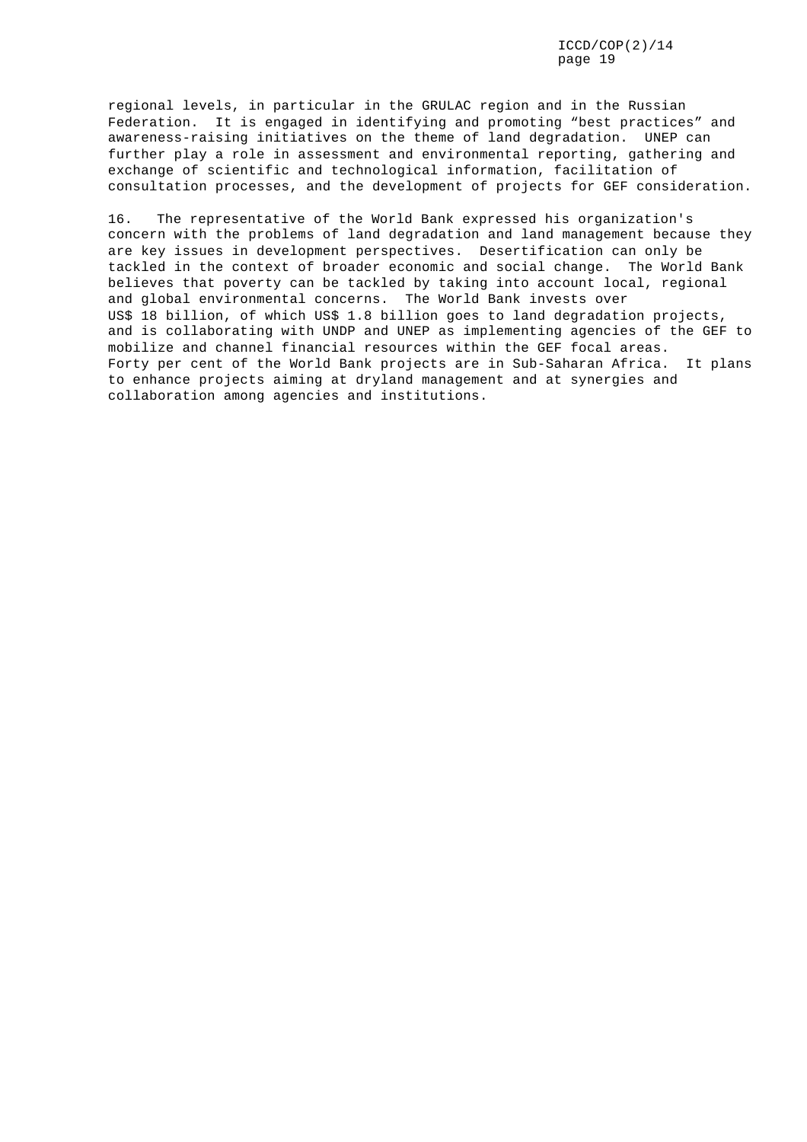regional levels, in particular in the GRULAC region and in the Russian Federation. It is engaged in identifying and promoting "best practices" and awareness-raising initiatives on the theme of land degradation. UNEP can further play a role in assessment and environmental reporting, gathering and exchange of scientific and technological information, facilitation of consultation processes, and the development of projects for GEF consideration.

16. The representative of the World Bank expressed his organization's concern with the problems of land degradation and land management because they are key issues in development perspectives. Desertification can only be tackled in the context of broader economic and social change. The World Bank believes that poverty can be tackled by taking into account local, regional and global environmental concerns. The World Bank invests over US\$ 18 billion, of which US\$ 1.8 billion goes to land degradation projects, and is collaborating with UNDP and UNEP as implementing agencies of the GEF to mobilize and channel financial resources within the GEF focal areas. Forty per cent of the World Bank projects are in Sub-Saharan Africa. It plans to enhance projects aiming at dryland management and at synergies and collaboration among agencies and institutions.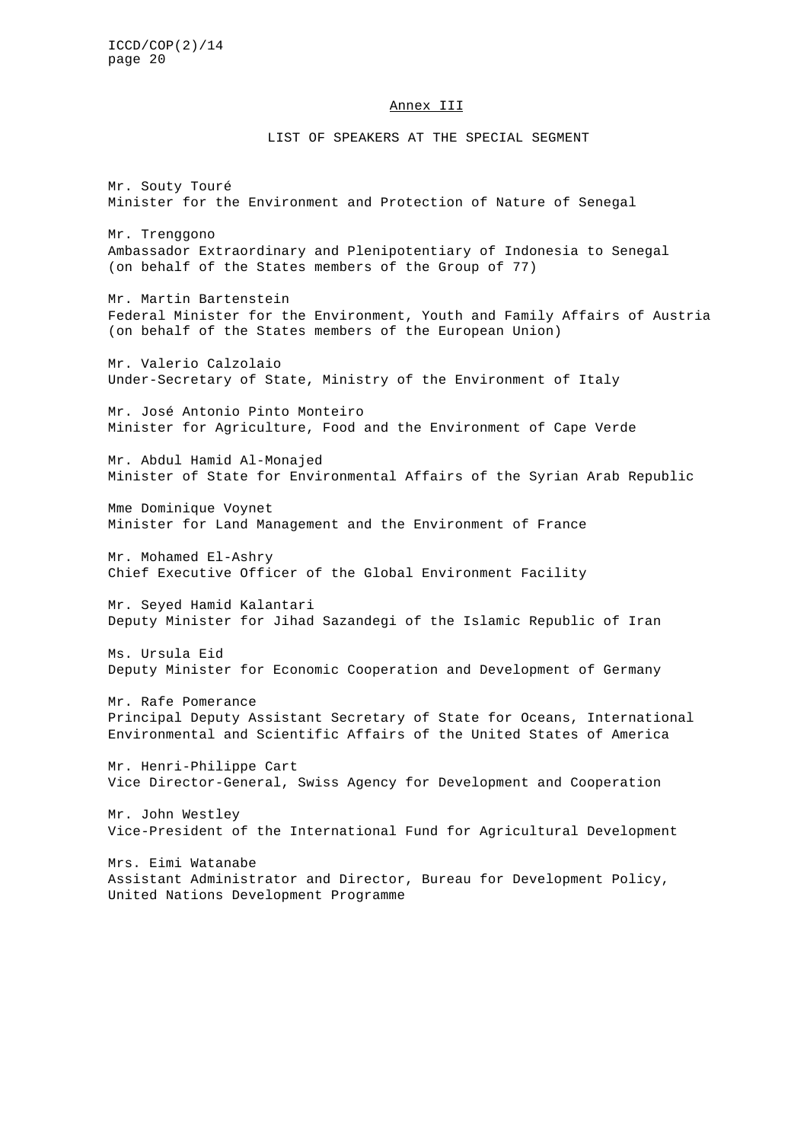#### Annex III

### LIST OF SPEAKERS AT THE SPECIAL SEGMENT

Mr. Souty Touré Minister for the Environment and Protection of Nature of Senegal Mr. Trenggono Ambassador Extraordinary and Plenipotentiary of Indonesia to Senegal (on behalf of the States members of the Group of 77) Mr. Martin Bartenstein Federal Minister for the Environment, Youth and Family Affairs of Austria (on behalf of the States members of the European Union) Mr. Valerio Calzolaio Under-Secretary of State, Ministry of the Environment of Italy Mr. José Antonio Pinto Monteiro Minister for Agriculture, Food and the Environment of Cape Verde Mr. Abdul Hamid Al-Monajed Minister of State for Environmental Affairs of the Syrian Arab Republic Mme Dominique Voynet Minister for Land Management and the Environment of France Mr. Mohamed El-Ashry Chief Executive Officer of the Global Environment Facility Mr. Seyed Hamid Kalantari Deputy Minister for Jihad Sazandegi of the Islamic Republic of Iran Ms. Ursula Eid Deputy Minister for Economic Cooperation and Development of Germany Mr. Rafe Pomerance Principal Deputy Assistant Secretary of State for Oceans, International Environmental and Scientific Affairs of the United States of America Mr. Henri-Philippe Cart Vice Director-General, Swiss Agency for Development and Cooperation Mr. John Westley Vice-President of the International Fund for Agricultural Development Mrs. Eimi Watanabe Assistant Administrator and Director, Bureau for Development Policy, United Nations Development Programme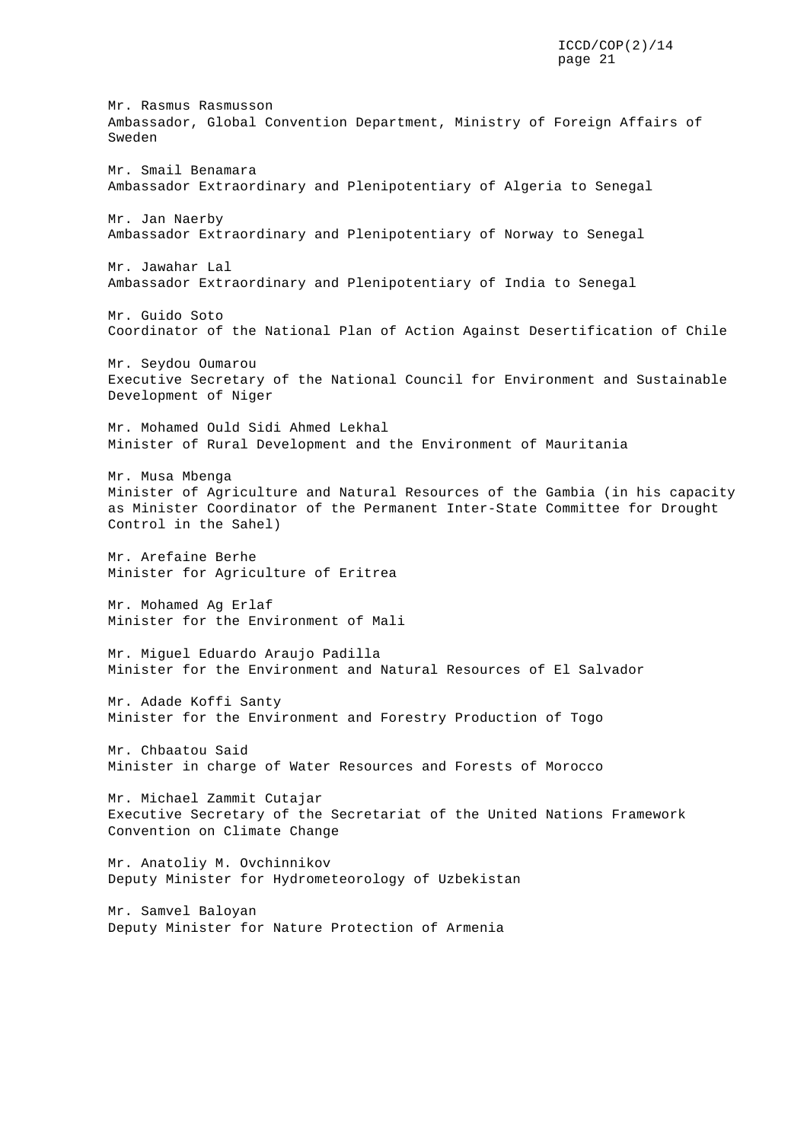Mr. Rasmus Rasmusson Ambassador, Global Convention Department, Ministry of Foreign Affairs of Sweden Mr. Smail Benamara Ambassador Extraordinary and Plenipotentiary of Algeria to Senegal Mr. Jan Naerby Ambassador Extraordinary and Plenipotentiary of Norway to Senegal Mr. Jawahar Lal Ambassador Extraordinary and Plenipotentiary of India to Senegal Mr. Guido Soto Coordinator of the National Plan of Action Against Desertification of Chile Mr. Seydou Oumarou Executive Secretary of the National Council for Environment and Sustainable Development of Niger Mr. Mohamed Ould Sidi Ahmed Lekhal Minister of Rural Development and the Environment of Mauritania Mr. Musa Mbenga Minister of Agriculture and Natural Resources of the Gambia (in his capacity as Minister Coordinator of the Permanent Inter-State Committee for Drought Control in the Sahel) Mr. Arefaine Berhe Minister for Agriculture of Eritrea Mr. Mohamed Ag Erlaf Minister for the Environment of Mali Mr. Miguel Eduardo Araujo Padilla Minister for the Environment and Natural Resources of El Salvador Mr. Adade Koffi Santy Minister for the Environment and Forestry Production of Togo Mr. Chbaatou Said Minister in charge of Water Resources and Forests of Morocco Mr. Michael Zammit Cutajar Executive Secretary of the Secretariat of the United Nations Framework Convention on Climate Change Mr. Anatoliy M. Ovchinnikov Deputy Minister for Hydrometeorology of Uzbekistan Mr. Samvel Baloyan Deputy Minister for Nature Protection of Armenia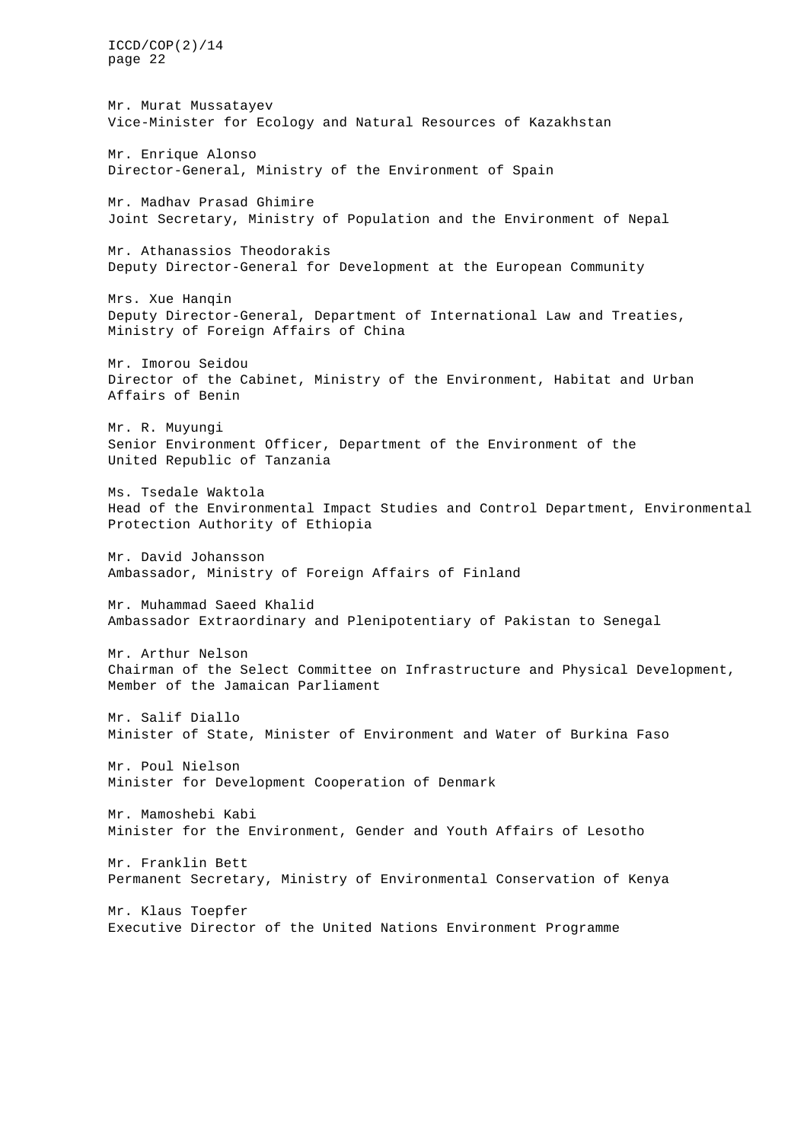Mr. Murat Mussatayev Vice-Minister for Ecology and Natural Resources of Kazakhstan

Mr. Enrique Alonso Director-General, Ministry of the Environment of Spain

Mr. Madhav Prasad Ghimire Joint Secretary, Ministry of Population and the Environment of Nepal

Mr. Athanassios Theodorakis Deputy Director-General for Development at the European Community

Mrs. Xue Hanqin Deputy Director-General, Department of International Law and Treaties, Ministry of Foreign Affairs of China

Mr. Imorou Seidou Director of the Cabinet, Ministry of the Environment, Habitat and Urban Affairs of Benin

Mr. R. Muyungi Senior Environment Officer, Department of the Environment of the United Republic of Tanzania

Ms. Tsedale Waktola Head of the Environmental Impact Studies and Control Department, Environmental Protection Authority of Ethiopia

Mr. David Johansson Ambassador, Ministry of Foreign Affairs of Finland

Mr. Muhammad Saeed Khalid Ambassador Extraordinary and Plenipotentiary of Pakistan to Senegal

Mr. Arthur Nelson Chairman of the Select Committee on Infrastructure and Physical Development, Member of the Jamaican Parliament

Mr. Salif Diallo Minister of State, Minister of Environment and Water of Burkina Faso

Mr. Poul Nielson Minister for Development Cooperation of Denmark

Mr. Mamoshebi Kabi Minister for the Environment, Gender and Youth Affairs of Lesotho

Mr. Franklin Bett Permanent Secretary, Ministry of Environmental Conservation of Kenya

Mr. Klaus Toepfer Executive Director of the United Nations Environment Programme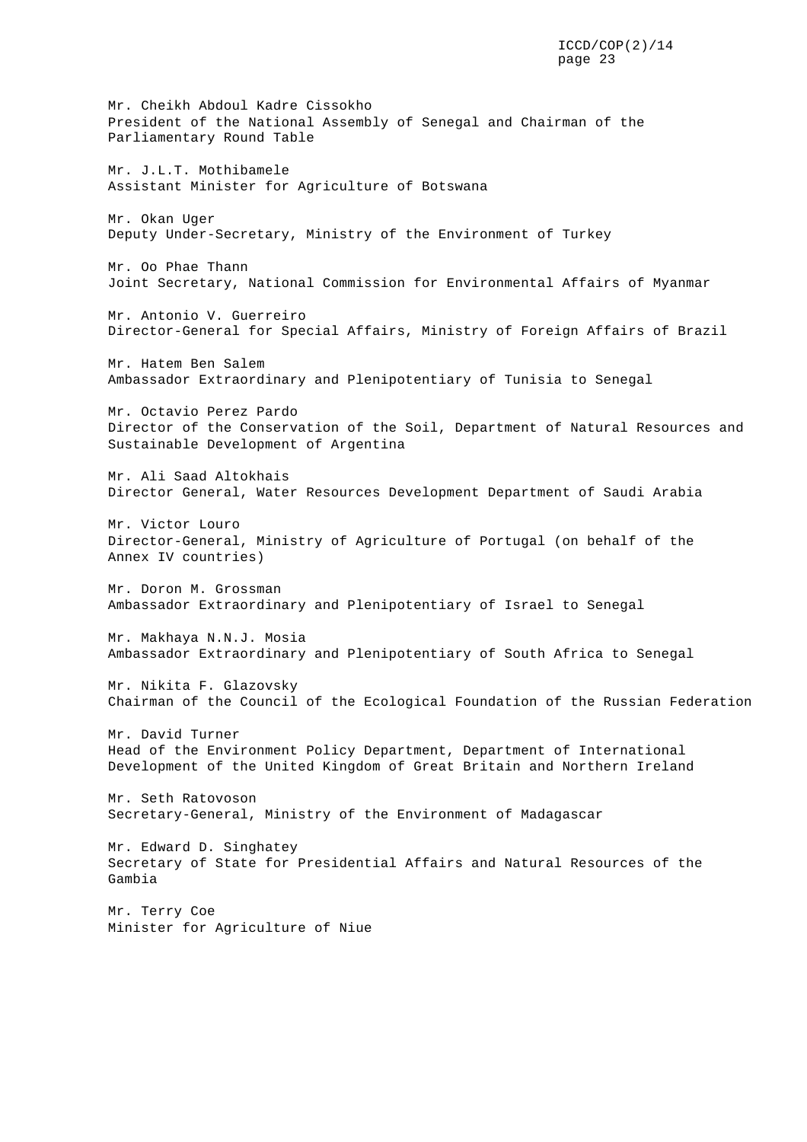Mr. Cheikh Abdoul Kadre Cissokho President of the National Assembly of Senegal and Chairman of the Parliamentary Round Table Mr. J.L.T. Mothibamele Assistant Minister for Agriculture of Botswana Mr. Okan Uger Deputy Under-Secretary, Ministry of the Environment of Turkey Mr. Oo Phae Thann Joint Secretary, National Commission for Environmental Affairs of Myanmar Mr. Antonio V. Guerreiro Director-General for Special Affairs, Ministry of Foreign Affairs of Brazil Mr. Hatem Ben Salem Ambassador Extraordinary and Plenipotentiary of Tunisia to Senegal Mr. Octavio Perez Pardo Director of the Conservation of the Soil, Department of Natural Resources and Sustainable Development of Argentina Mr. Ali Saad Altokhais Director General, Water Resources Development Department of Saudi Arabia Mr. Victor Louro Director-General, Ministry of Agriculture of Portugal (on behalf of the Annex IV countries) Mr. Doron M. Grossman Ambassador Extraordinary and Plenipotentiary of Israel to Senegal Mr. Makhaya N.N.J. Mosia Ambassador Extraordinary and Plenipotentiary of South Africa to Senegal Mr. Nikita F. Glazovsky Chairman of the Council of the Ecological Foundation of the Russian Federation Mr. David Turner Head of the Environment Policy Department, Department of International Development of the United Kingdom of Great Britain and Northern Ireland Mr. Seth Ratovoson Secretary-General, Ministry of the Environment of Madagascar Mr. Edward D. Singhatey Secretary of State for Presidential Affairs and Natural Resources of the Gambia Mr. Terry Coe Minister for Agriculture of Niue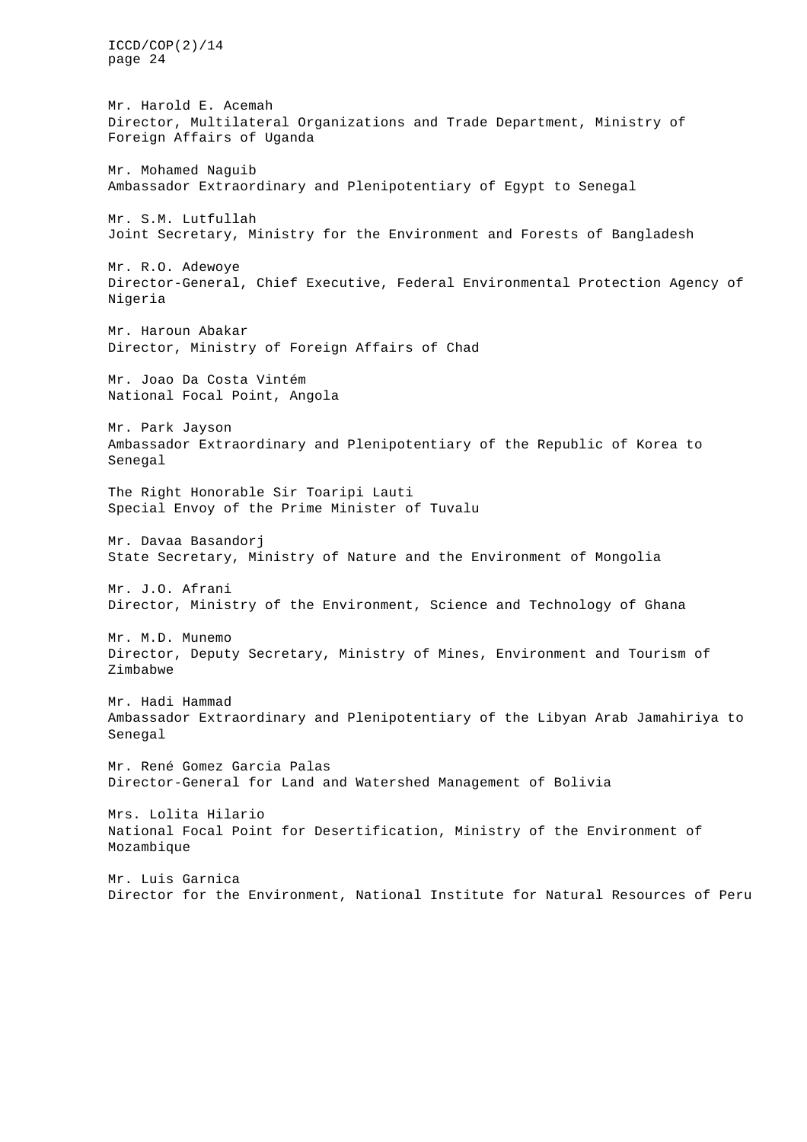page 24 Mr. Harold E. Acemah Director, Multilateral Organizations and Trade Department, Ministry of Foreign Affairs of Uganda Mr. Mohamed Naguib Ambassador Extraordinary and Plenipotentiary of Egypt to Senegal Mr. S.M. Lutfullah Joint Secretary, Ministry for the Environment and Forests of Bangladesh Mr. R.O. Adewoye Director-General, Chief Executive, Federal Environmental Protection Agency of Nigeria Mr. Haroun Abakar Director, Ministry of Foreign Affairs of Chad Mr. Joao Da Costa Vintém National Focal Point, Angola Mr. Park Jayson Ambassador Extraordinary and Plenipotentiary of the Republic of Korea to Senegal The Right Honorable Sir Toaripi Lauti Special Envoy of the Prime Minister of Tuvalu Mr. Davaa Basandorj State Secretary, Ministry of Nature and the Environment of Mongolia Mr. J.O. Afrani Director, Ministry of the Environment, Science and Technology of Ghana Mr. M.D. Munemo Director, Deputy Secretary, Ministry of Mines, Environment and Tourism of Zimbabwe Mr. Hadi Hammad Ambassador Extraordinary and Plenipotentiary of the Libyan Arab Jamahiriya to Senegal Mr. René Gomez Garcia Palas Director-General for Land and Watershed Management of Bolivia Mrs. Lolita Hilario National Focal Point for Desertification, Ministry of the Environment of Mozambique Mr. Luis Garnica Director for the Environment, National Institute for Natural Resources of Peru

ICCD/COP(2)/14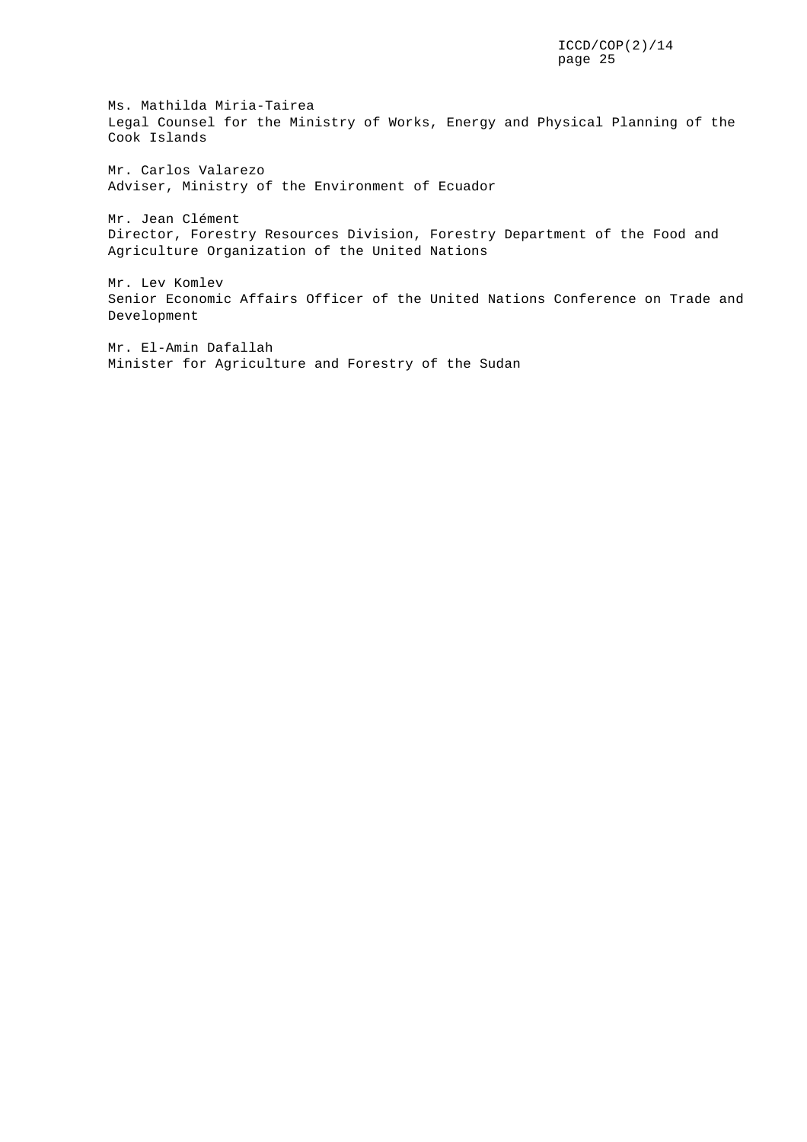Ms. Mathilda Miria-Tairea Legal Counsel for the Ministry of Works, Energy and Physical Planning of the Cook Islands

Mr. Carlos Valarezo Adviser, Ministry of the Environment of Ecuador

Mr. Jean Clément Director, Forestry Resources Division, Forestry Department of the Food and Agriculture Organization of the United Nations

Mr. Lev Komlev Senior Economic Affairs Officer of the United Nations Conference on Trade and Development

Mr. El-Amin Dafallah Minister for Agriculture and Forestry of the Sudan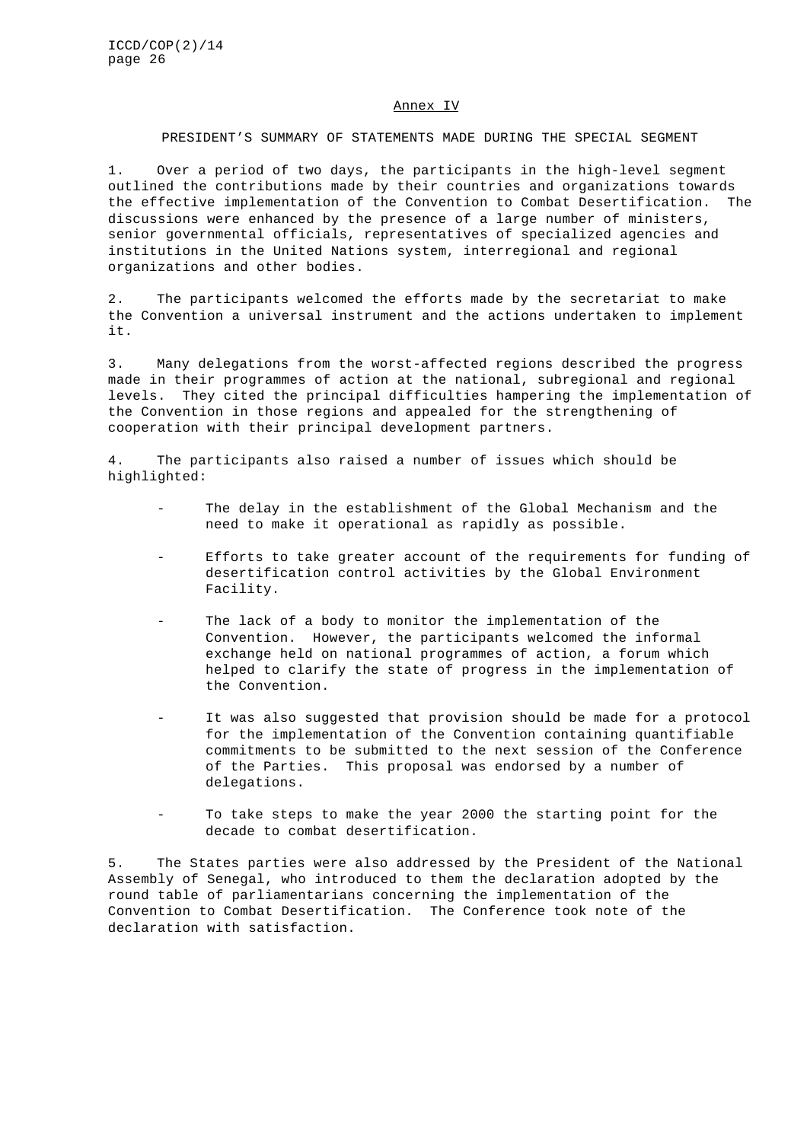#### Annex IV

#### PRESIDENT'S SUMMARY OF STATEMENTS MADE DURING THE SPECIAL SEGMENT

1. Over a period of two days, the participants in the high-level segment outlined the contributions made by their countries and organizations towards the effective implementation of the Convention to Combat Desertification. The discussions were enhanced by the presence of a large number of ministers, senior governmental officials, representatives of specialized agencies and institutions in the United Nations system, interregional and regional organizations and other bodies.

2. The participants welcomed the efforts made by the secretariat to make the Convention a universal instrument and the actions undertaken to implement it.

3. Many delegations from the worst-affected regions described the progress made in their programmes of action at the national, subregional and regional levels. They cited the principal difficulties hampering the implementation of the Convention in those regions and appealed for the strengthening of cooperation with their principal development partners.

4. The participants also raised a number of issues which should be highlighted:

- The delay in the establishment of the Global Mechanism and the need to make it operational as rapidly as possible.
- Efforts to take greater account of the requirements for funding of desertification control activities by the Global Environment Facility.
- The lack of a body to monitor the implementation of the Convention. However, the participants welcomed the informal exchange held on national programmes of action, a forum which helped to clarify the state of progress in the implementation of the Convention.
- It was also suggested that provision should be made for a protocol for the implementation of the Convention containing quantifiable commitments to be submitted to the next session of the Conference of the Parties. This proposal was endorsed by a number of delegations.
- To take steps to make the year 2000 the starting point for the decade to combat desertification.

5. The States parties were also addressed by the President of the National Assembly of Senegal, who introduced to them the declaration adopted by the round table of parliamentarians concerning the implementation of the Convention to Combat Desertification. The Conference took note of the declaration with satisfaction.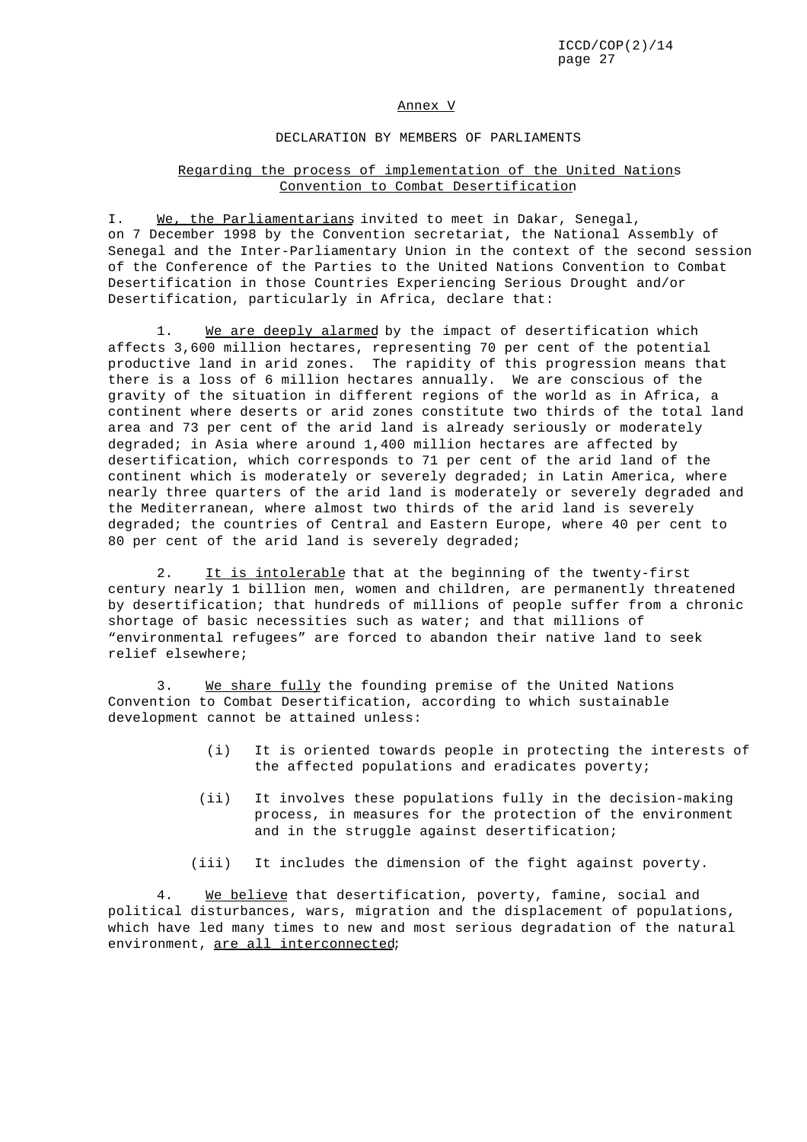#### Annex V

### DECLARATION BY MEMBERS OF PARLIAMENTS

### Regarding the process of implementation of the United Nations Convention to Combat Desertification

I. We, the Parliamentarians invited to meet in Dakar, Senegal, on 7 December 1998 by the Convention secretariat, the National Assembly of Senegal and the Inter-Parliamentary Union in the context of the second session of the Conference of the Parties to the United Nations Convention to Combat Desertification in those Countries Experiencing Serious Drought and/or Desertification, particularly in Africa, declare that:

1. We are deeply alarmed by the impact of desertification which affects 3,600 million hectares, representing 70 per cent of the potential productive land in arid zones. The rapidity of this progression means that there is a loss of 6 million hectares annually. We are conscious of the gravity of the situation in different regions of the world as in Africa, a continent where deserts or arid zones constitute two thirds of the total land area and 73 per cent of the arid land is already seriously or moderately degraded; in Asia where around 1,400 million hectares are affected by desertification, which corresponds to 71 per cent of the arid land of the continent which is moderately or severely degraded; in Latin America, where nearly three quarters of the arid land is moderately or severely degraded and the Mediterranean, where almost two thirds of the arid land is severely degraded; the countries of Central and Eastern Europe, where 40 per cent to 80 per cent of the arid land is severely degraded;

2. It is intolerable that at the beginning of the twenty-first century nearly 1 billion men, women and children, are permanently threatened by desertification; that hundreds of millions of people suffer from a chronic shortage of basic necessities such as water; and that millions of "environmental refugees" are forced to abandon their native land to seek relief elsewhere;

3. We share fully the founding premise of the United Nations Convention to Combat Desertification, according to which sustainable development cannot be attained unless:

- (i) It is oriented towards people in protecting the interests of the affected populations and eradicates poverty;
- (ii) It involves these populations fully in the decision-making process, in measures for the protection of the environment and in the struggle against desertification;
- (iii) It includes the dimension of the fight against poverty.

4. We believe that desertification, poverty, famine, social and political disturbances, wars, migration and the displacement of populations, which have led many times to new and most serious degradation of the natural environment, are all interconnected;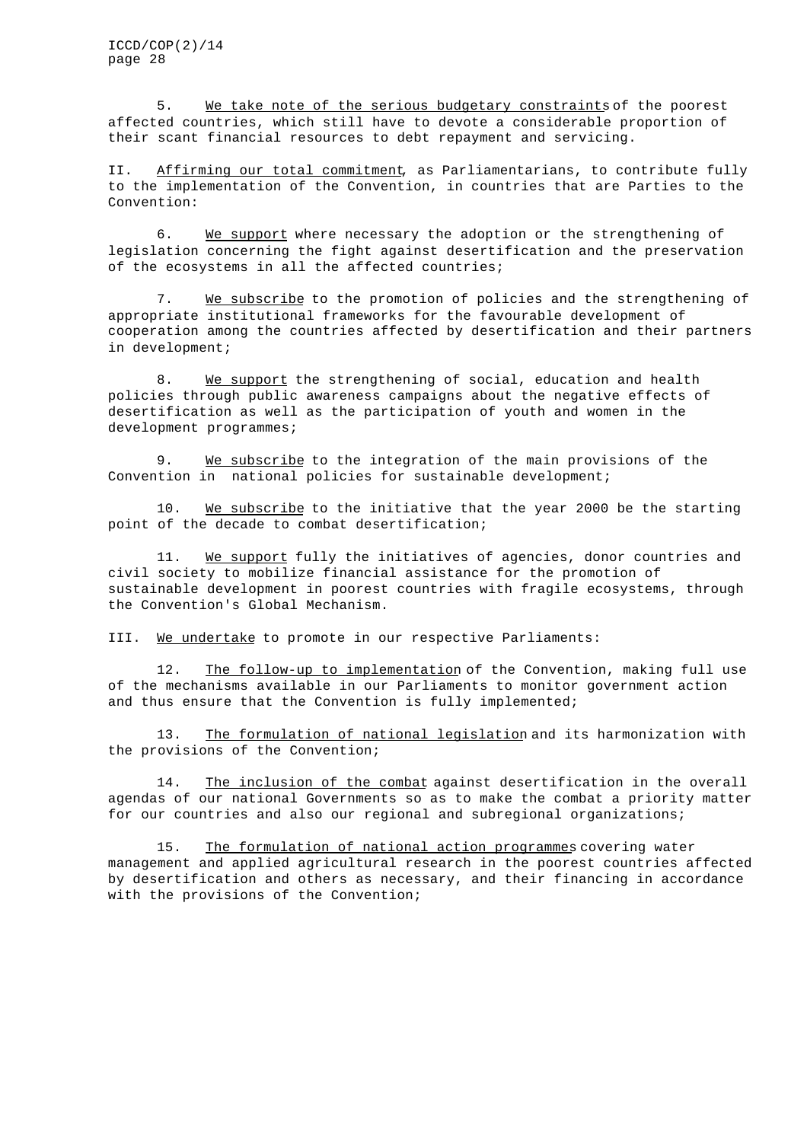5. We take note of the serious budgetary constraints of the poorest affected countries, which still have to devote a considerable proportion of their scant financial resources to debt repayment and servicing.

II. Affirming our total commitment, as Parliamentarians, to contribute fully to the implementation of the Convention, in countries that are Parties to the Convention:

6. We support where necessary the adoption or the strengthening of legislation concerning the fight against desertification and the preservation of the ecosystems in all the affected countries;

7. We subscribe to the promotion of policies and the strengthening of appropriate institutional frameworks for the favourable development of cooperation among the countries affected by desertification and their partners in development;

8. We support the strengthening of social, education and health policies through public awareness campaigns about the negative effects of desertification as well as the participation of youth and women in the development programmes;

9. We subscribe to the integration of the main provisions of the Convention in national policies for sustainable development;

10. We subscribe to the initiative that the year 2000 be the starting point of the decade to combat desertification;

11. We support fully the initiatives of agencies, donor countries and civil society to mobilize financial assistance for the promotion of sustainable development in poorest countries with fragile ecosystems, through the Convention's Global Mechanism.

III. We undertake to promote in our respective Parliaments:

12. The follow-up to implementation of the Convention, making full use of the mechanisms available in our Parliaments to monitor government action and thus ensure that the Convention is fully implemented;

13. The formulation of national legislation and its harmonization with the provisions of the Convention;

14. The inclusion of the combat against desertification in the overall agendas of our national Governments so as to make the combat a priority matter for our countries and also our regional and subregional organizations;

15. The formulation of national action programmes covering water management and applied agricultural research in the poorest countries affected by desertification and others as necessary, and their financing in accordance with the provisions of the Convention;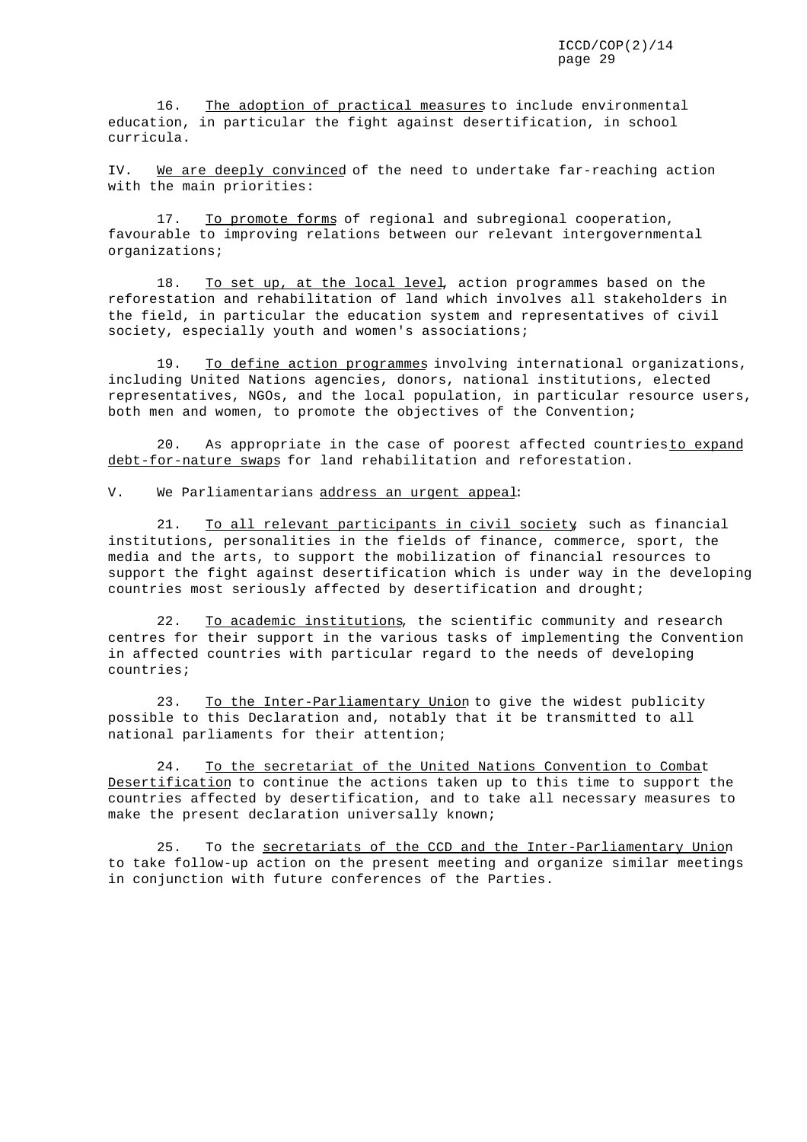16. The adoption of practical measures to include environmental education, in particular the fight against desertification, in school curricula.

IV. We are deeply convinced of the need to undertake far-reaching action with the main priorities:

17. To promote forms of regional and subregional cooperation, favourable to improving relations between our relevant intergovernmental organizations;

18. To set up, at the local level, action programmes based on the reforestation and rehabilitation of land which involves all stakeholders in the field, in particular the education system and representatives of civil society, especially youth and women's associations;

19. To define action programmes involving international organizations, including United Nations agencies, donors, national institutions, elected representatives, NGOs, and the local population, in particular resource users, both men and women, to promote the objectives of the Convention;

20. As appropriate in the case of poorest affected countriesto expand debt-for-nature swaps for land rehabilitation and reforestation.

V. We Parliamentarians address an urgent appeal:

21. To all relevant participants in civil society, such as financial institutions, personalities in the fields of finance, commerce, sport, the media and the arts, to support the mobilization of financial resources to support the fight against desertification which is under way in the developing countries most seriously affected by desertification and drought;

22. To academic institutions, the scientific community and research centres for their support in the various tasks of implementing the Convention in affected countries with particular regard to the needs of developing countries;

23. To the Inter-Parliamentary Union to give the widest publicity possible to this Declaration and, notably that it be transmitted to all national parliaments for their attention;

24. To the secretariat of the United Nations Convention to Combat Desertification to continue the actions taken up to this time to support the countries affected by desertification, and to take all necessary measures to make the present declaration universally known;

25. To the secretariats of the CCD and the Inter-Parliamentary Union to take follow-up action on the present meeting and organize similar meetings in conjunction with future conferences of the Parties.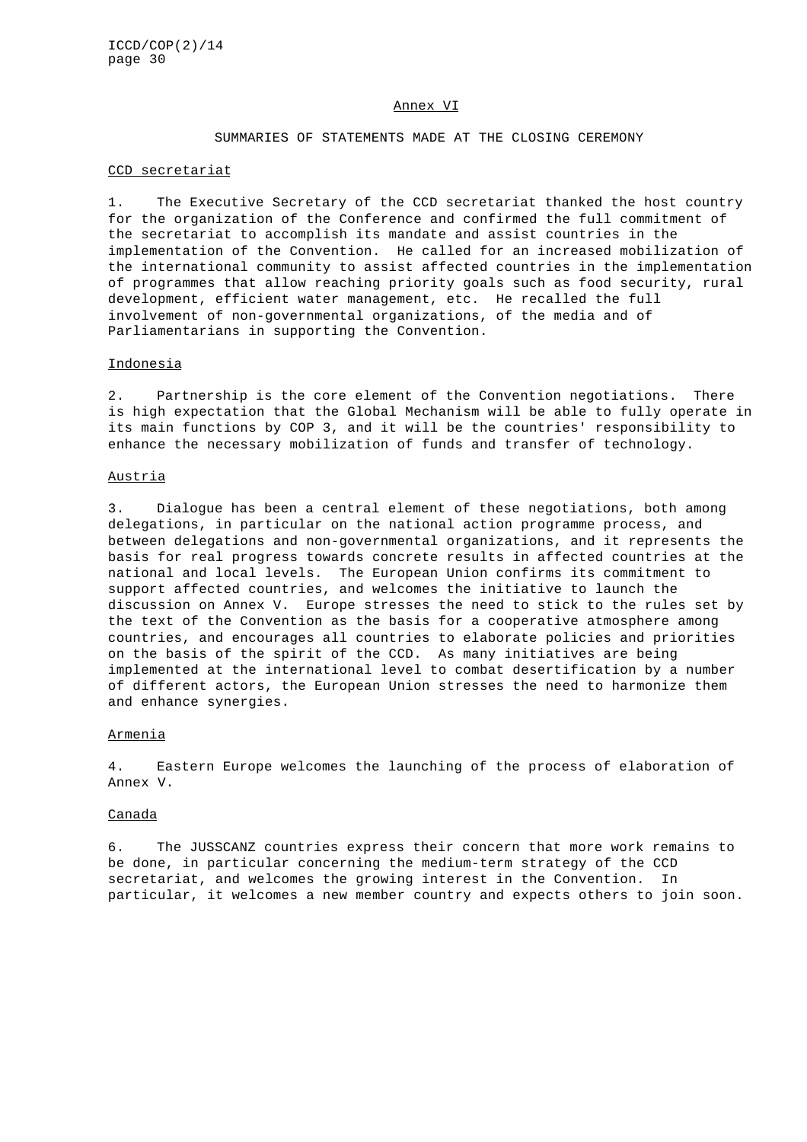#### Annex VI

#### SUMMARIES OF STATEMENTS MADE AT THE CLOSING CEREMONY

### CCD secretariat

1. The Executive Secretary of the CCD secretariat thanked the host country for the organization of the Conference and confirmed the full commitment of the secretariat to accomplish its mandate and assist countries in the implementation of the Convention. He called for an increased mobilization of the international community to assist affected countries in the implementation of programmes that allow reaching priority goals such as food security, rural development, efficient water management, etc. He recalled the full involvement of non-governmental organizations, of the media and of Parliamentarians in supporting the Convention.

#### Indonesia

2. Partnership is the core element of the Convention negotiations. There is high expectation that the Global Mechanism will be able to fully operate in its main functions by COP 3, and it will be the countries' responsibility to enhance the necessary mobilization of funds and transfer of technology.

#### Austria

3. Dialogue has been a central element of these negotiations, both among delegations, in particular on the national action programme process, and between delegations and non-governmental organizations, and it represents the basis for real progress towards concrete results in affected countries at the national and local levels. The European Union confirms its commitment to support affected countries, and welcomes the initiative to launch the discussion on Annex V. Europe stresses the need to stick to the rules set by the text of the Convention as the basis for a cooperative atmosphere among countries, and encourages all countries to elaborate policies and priorities on the basis of the spirit of the CCD. As many initiatives are being implemented at the international level to combat desertification by a number of different actors, the European Union stresses the need to harmonize them and enhance synergies.

#### Armenia

4. Eastern Europe welcomes the launching of the process of elaboration of Annex V.

#### Canada

6. The JUSSCANZ countries express their concern that more work remains to be done, in particular concerning the medium-term strategy of the CCD secretariat, and welcomes the growing interest in the Convention. In particular, it welcomes a new member country and expects others to join soon.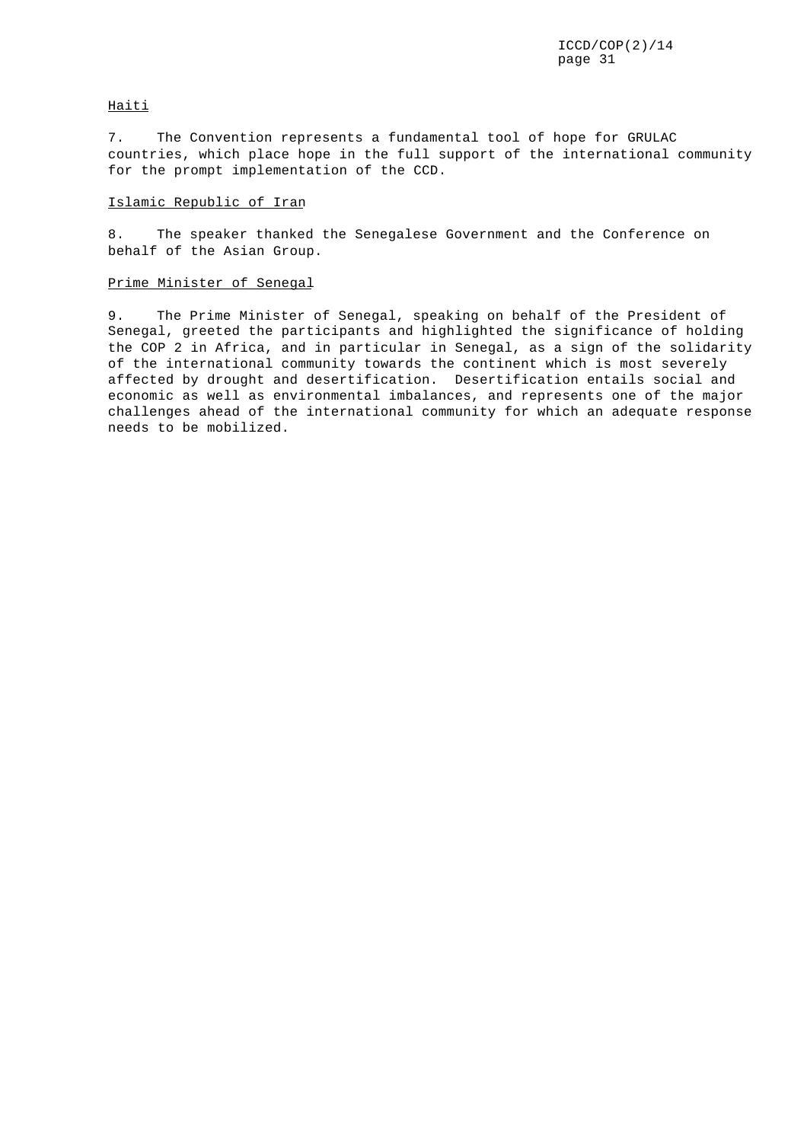### **Haiti**

7. The Convention represents a fundamental tool of hope for GRULAC countries, which place hope in the full support of the international community for the prompt implementation of the CCD.

### Islamic Republic of Iran

8. The speaker thanked the Senegalese Government and the Conference on behalf of the Asian Group.

### Prime Minister of Senegal

9. The Prime Minister of Senegal, speaking on behalf of the President of Senegal, greeted the participants and highlighted the significance of holding the COP 2 in Africa, and in particular in Senegal, as a sign of the solidarity of the international community towards the continent which is most severely affected by drought and desertification. Desertification entails social and economic as well as environmental imbalances, and represents one of the major challenges ahead of the international community for which an adequate response needs to be mobilized.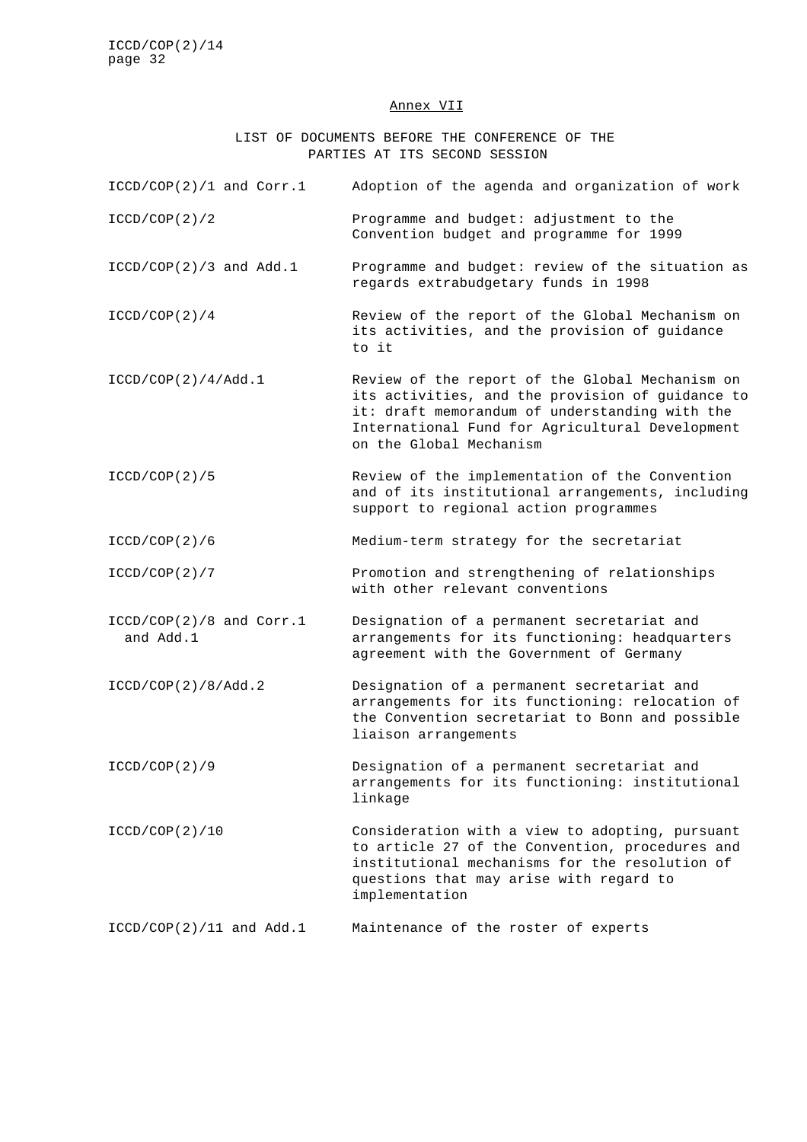#### Annex VII

LIST OF DOCUMENTS BEFORE THE CONFERENCE OF THE PARTIES AT ITS SECOND SESSION

| $ICCD/COP(2)/1$ and $Corr.1$ | Adoption of the agenda and organization of work |
|------------------------------|-------------------------------------------------|
| ICCD/COP(2)/2                | Programme and budget: adjustment to the         |

- Convention budget and programme for 1999
- ICCD/COP(2)/3 and Add.1 Programme and budget: review of the situation as regards extrabudgetary funds in 1998
- ICCD/COP(2)/4 Review of the report of the Global Mechanism on its activities, and the provision of guidance to it
- ICCD/COP(2)/4/Add.1 Review of the report of the Global Mechanism on its activities, and the provision of guidance to it: draft memorandum of understanding with the International Fund for Agricultural Development on the Global Mechanism
- ICCD/COP(2)/5 Review of the implementation of the Convention and of its institutional arrangements, including support to regional action programmes

ICCD/COP(2)/6 Medium-term strategy for the secretariat

- ICCD/COP(2)/7 Promotion and strengthening of relationships with other relevant conventions
- ICCD/COP(2)/8 and Corr.1 Designation of a permanent secretariat and and Add.1 arrangements for its functioning: headquarters agreement with the Government of Germany
- ICCD/COP(2)/8/Add.2 Designation of a permanent secretariat and arrangements for its functioning: relocation of the Convention secretariat to Bonn and possible liaison arrangements

ICCD/COP(2)/9 Designation of a permanent secretariat and arrangements for its functioning: institutional linkage

- ICCD/COP(2)/10 Consideration with a view to adopting, pursuant to article 27 of the Convention, procedures and institutional mechanisms for the resolution of questions that may arise with regard to implementation
- ICCD/COP(2)/11 and Add.1 Maintenance of the roster of experts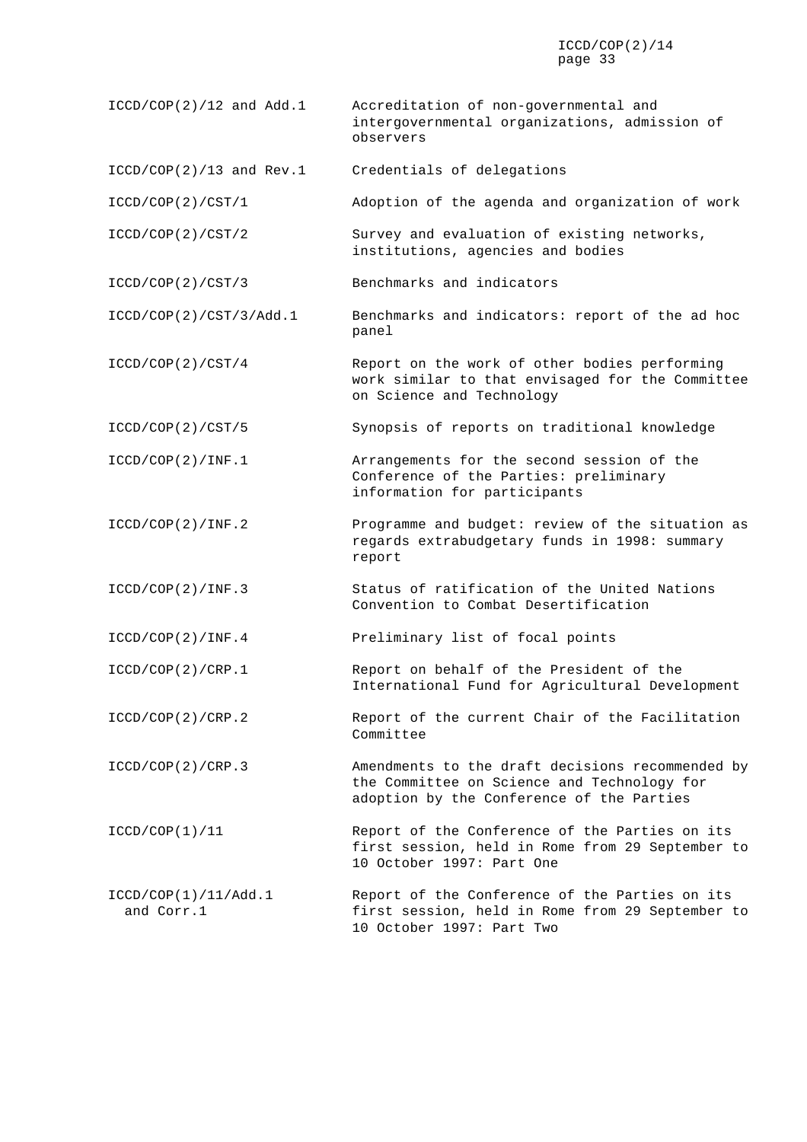- ICCD/COP(2)/12 and Add.1 Accreditation of non-governmental and intergovernmental organizations, admission of observers
- ICCD/COP(2)/13 and Rev.1 Credentials of delegations
- ICCD/COP(2)/CST/1 Adoption of the agenda and organization of work
- ICCD/COP(2)/CST/2 Survey and evaluation of existing networks, institutions, agencies and bodies
- ICCD/COP(2)/CST/3 Benchmarks and indicators
- ICCD/COP(2)/CST/3/Add.1 Benchmarks and indicators: report of the ad hoc panel
- ICCD/COP(2)/CST/4 Report on the work of other bodies performing work similar to that envisaged for the Committee on Science and Technology
- ICCD/COP(2)/CST/5 Synopsis of reports on traditional knowledge
- ICCD/COP(2)/INF.1 Arrangements for the second session of the Conference of the Parties: preliminary information for participants
- ICCD/COP(2)/INF.2 Programme and budget: review of the situation as regards extrabudgetary funds in 1998: summary report
- ICCD/COP(2)/INF.3 Status of ratification of the United Nations Convention to Combat Desertification
- ICCD/COP(2)/INF.4 Preliminary list of focal points
- ICCD/COP(2)/CRP.1 Report on behalf of the President of the International Fund for Agricultural Development
- ICCD/COP(2)/CRP.2 Report of the current Chair of the Facilitation Committee
- ICCD/COP(2)/CRP.3 Amendments to the draft decisions recommended by the Committee on Science and Technology for adoption by the Conference of the Parties
- ICCD/COP(1)/11 Report of the Conference of the Parties on its first session, held in Rome from 29 September to 10 October 1997: Part One
- ICCD/COP(1)/11/Add.1 Report of the Conference of the Parties on its and Corr.1 first session, held in Rome from 29 September to 10 October 1997: Part Two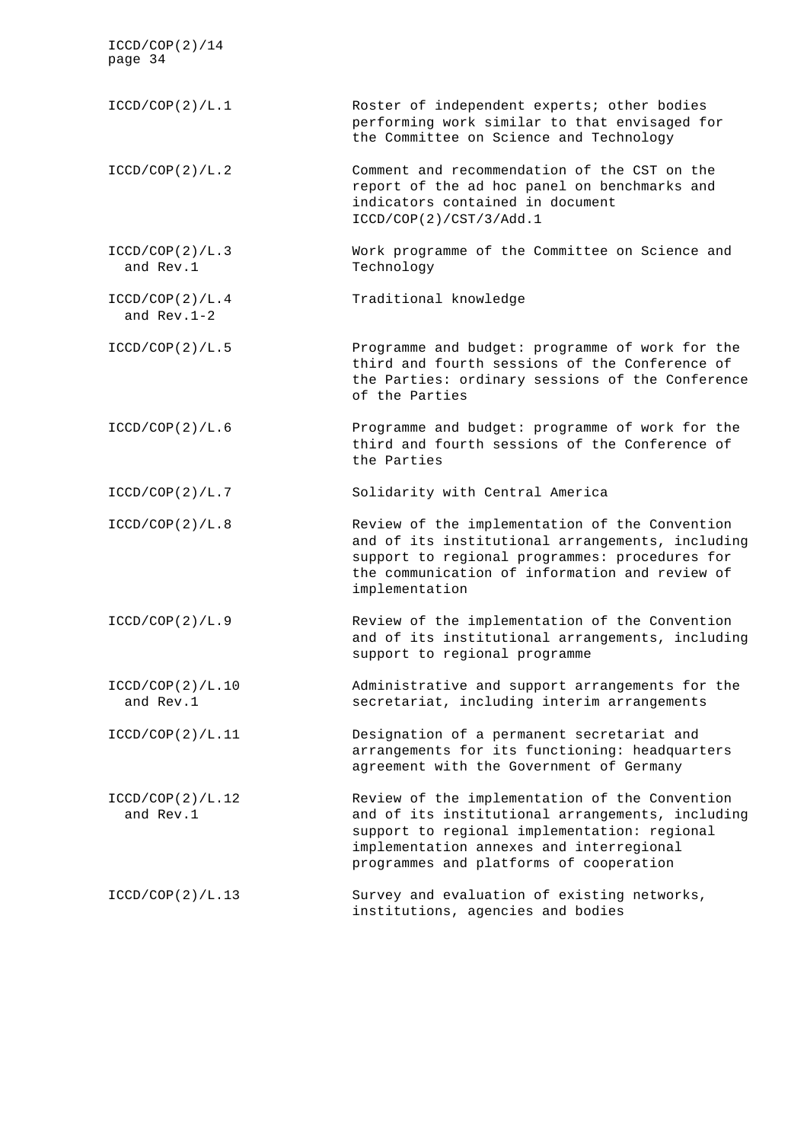| ICCD/COP(2)/14<br>page 34        |                                                                                                                                                                                                                                           |
|----------------------------------|-------------------------------------------------------------------------------------------------------------------------------------------------------------------------------------------------------------------------------------------|
| ICCD/COP(2)/L.1                  | Roster of independent experts; other bodies<br>performing work similar to that envisaged for<br>the Committee on Science and Technology                                                                                                   |
| ICCD/COP(2)/L.2                  | Comment and recommendation of the CST on the<br>report of the ad hoc panel on benchmarks and<br>indicators contained in document<br>ICCD/COP(2)/CST/3/Add.1                                                                               |
| ICCD/COP(2)/L.3<br>and Rev.1     | Work programme of the Committee on Science and<br>Technology                                                                                                                                                                              |
| ICCD/COP(2)/L.4<br>and $Rev.1-2$ | Traditional knowledge                                                                                                                                                                                                                     |
| ICCD/COP(2)/L.5                  | Programme and budget: programme of work for the<br>third and fourth sessions of the Conference of<br>the Parties: ordinary sessions of the Conference<br>of the Parties                                                                   |
| ICCD/COP(2)/L.6                  | Programme and budget: programme of work for the<br>third and fourth sessions of the Conference of<br>the Parties                                                                                                                          |
| ICCD/COP(2)/L.7                  | Solidarity with Central America                                                                                                                                                                                                           |
| ICCD/COP(2)/L.8                  | Review of the implementation of the Convention<br>and of its institutional arrangements, including<br>support to regional programmes: procedures for<br>the communication of information and review of<br>implementation                  |
| ICCD/COP(2)/L.9                  | Review of the implementation of the Convention<br>and of its institutional arrangements, including<br>support to regional programme                                                                                                       |
| ICCD/COP(2)/L.10<br>and Rev.1    | Administrative and support arrangements for the<br>secretariat, including interim arrangements                                                                                                                                            |
| ICCD/COP(2)/L.11                 | Designation of a permanent secretariat and<br>arrangements for its functioning: headquarters<br>agreement with the Government of Germany                                                                                                  |
| ICCD/COP(2)/L.12<br>and Rev.1    | Review of the implementation of the Convention<br>and of its institutional arrangements, including<br>support to regional implementation: regional<br>implementation annexes and interregional<br>programmes and platforms of cooperation |
| ICCD/COP(2)/L.13                 | Survey and evaluation of existing networks,<br>institutions, agencies and bodies                                                                                                                                                          |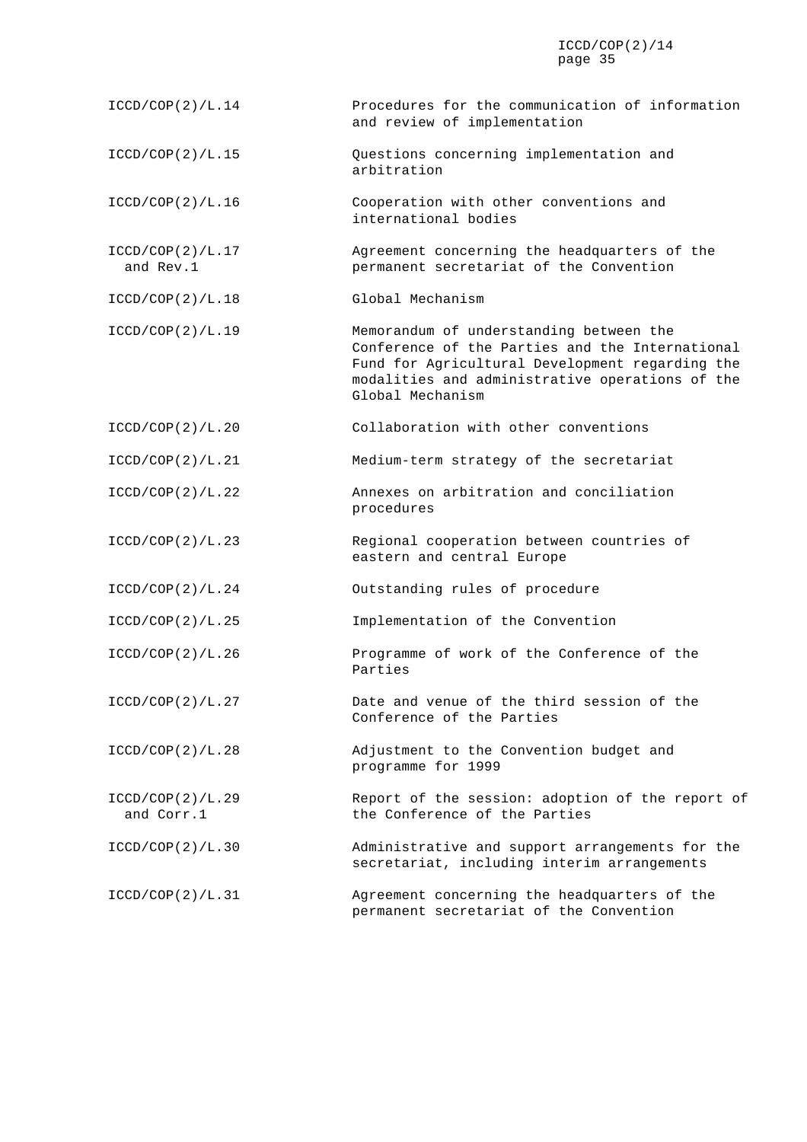| ICCD/COP(2)/L.14               | Procedures for the communication of information<br>and review of implementation                                                                                                                                      |
|--------------------------------|----------------------------------------------------------------------------------------------------------------------------------------------------------------------------------------------------------------------|
| ICCD/COP(2)/L.15               | Questions concerning implementation and<br>arbitration                                                                                                                                                               |
| ICCD/COP(2)/L.16               | Cooperation with other conventions and<br>international bodies                                                                                                                                                       |
| ICCD/COP(2)/L.17<br>and Rev.1  | Agreement concerning the headquarters of the<br>permanent secretariat of the Convention                                                                                                                              |
| ICCD/COP(2)/L.18               | Global Mechanism                                                                                                                                                                                                     |
| ICCD/COP(2)/L.19               | Memorandum of understanding between the<br>Conference of the Parties and the International<br>Fund for Agricultural Development regarding the<br>modalities and administrative operations of the<br>Global Mechanism |
| ICCD/COP(2)/L.20               | Collaboration with other conventions                                                                                                                                                                                 |
| ICCD/COP(2)/L.21               | Medium-term strategy of the secretariat                                                                                                                                                                              |
| ICCD/COP(2)/L.22               | Annexes on arbitration and conciliation<br>procedures                                                                                                                                                                |
| ICCD/COP(2)/L.23               | Regional cooperation between countries of<br>eastern and central Europe                                                                                                                                              |
| ICCD/COP(2)/L.24               | Outstanding rules of procedure                                                                                                                                                                                       |
| ICCD/COP(2)/L.25               | Implementation of the Convention                                                                                                                                                                                     |
| ICCD/COP(2)/L.26               | Programme of work of the Conference of the<br>Parties                                                                                                                                                                |
| ICCD/COP(2)/L.27               | Date and venue of the third session of the<br>Conference of the Parties                                                                                                                                              |
| ICCD/COP(2)/L.28               | Adjustment to the Convention budget and<br>programme for 1999                                                                                                                                                        |
| ICCD/COP(2)/L.29<br>and Corr.1 | Report of the session: adoption of the report of<br>the Conference of the Parties                                                                                                                                    |
| ICCD/COP(2)/L.30               | Administrative and support arrangements for the<br>secretariat, including interim arrangements                                                                                                                       |
| ICCD/COP(2)/L.31               | Agreement concerning the headquarters of the<br>permanent secretariat of the Convention                                                                                                                              |